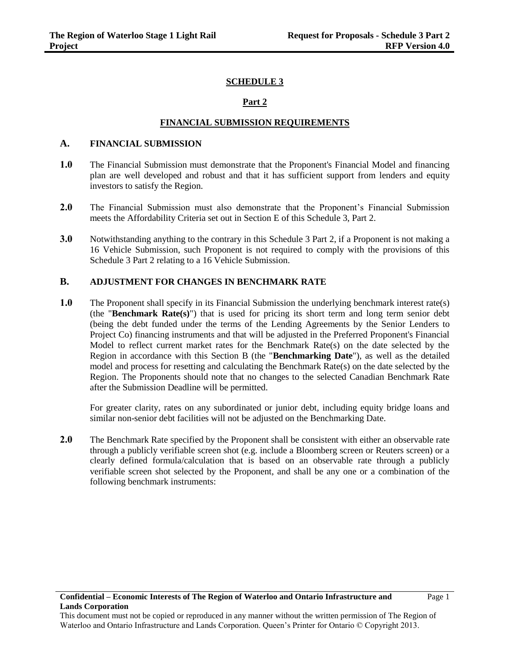## **SCHEDULE 3**

## **Part 2**

#### **FINANCIAL SUBMISSION REQUIREMENTS**

## **A. FINANCIAL SUBMISSION**

- **1.0** The Financial Submission must demonstrate that the Proponent's Financial Model and financing plan are well developed and robust and that it has sufficient support from lenders and equity investors to satisfy the Region.
- **2.0** The Financial Submission must also demonstrate that the Proponent's Financial Submission meets the Affordability Criteria set out in Section E of this Schedule 3, Part 2.
- **3.0** Notwithstanding anything to the contrary in this Schedule 3 Part 2, if a Proponent is not making a 16 Vehicle Submission, such Proponent is not required to comply with the provisions of this Schedule 3 Part 2 relating to a 16 Vehicle Submission.

#### **B. ADJUSTMENT FOR CHANGES IN BENCHMARK RATE**

**1.0** The Proponent shall specify in its Financial Submission the underlying benchmark interest rate(s) (the "**Benchmark Rate(s)**") that is used for pricing its short term and long term senior debt (being the debt funded under the terms of the Lending Agreements by the Senior Lenders to Project Co) financing instruments and that will be adjusted in the Preferred Proponent's Financial Model to reflect current market rates for the Benchmark Rate(s) on the date selected by the Region in accordance with this Section B (the "**Benchmarking Date**"), as well as the detailed model and process for resetting and calculating the Benchmark Rate(s) on the date selected by the Region. The Proponents should note that no changes to the selected Canadian Benchmark Rate after the Submission Deadline will be permitted.

For greater clarity, rates on any subordinated or junior debt, including equity bridge loans and similar non-senior debt facilities will not be adjusted on the Benchmarking Date.

**2.0** The Benchmark Rate specified by the Proponent shall be consistent with either an observable rate through a publicly verifiable screen shot (e.g. include a Bloomberg screen or Reuters screen) or a clearly defined formula/calculation that is based on an observable rate through a publicly verifiable screen shot selected by the Proponent, and shall be any one or a combination of the following benchmark instruments:

This document must not be copied or reproduced in any manner without the written permission of The Region of Waterloo and Ontario Infrastructure and Lands Corporation. Queen's Printer for Ontario © Copyright 2013.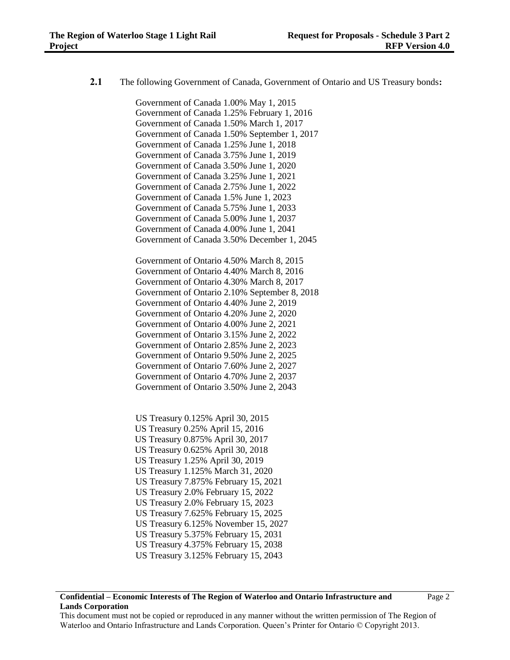**2.1** The following Government of Canada, Government of Ontario and US Treasury bonds**:**

Government of Canada 1.00% May 1, 2015 Government of Canada 1.25% February 1, 2016 Government of Canada 1.50% March 1, 2017 Government of Canada 1.50% September 1, 2017 Government of Canada 1.25% June 1, 2018 Government of Canada 3.75% June 1, 2019 Government of Canada 3.50% June 1, 2020 Government of Canada 3.25% June 1, 2021 Government of Canada 2.75% June 1, 2022 Government of Canada 1.5% June 1, 2023 Government of Canada 5.75% June 1, 2033 Government of Canada 5.00% June 1, 2037 Government of Canada 4.00% June 1, 2041 Government of Canada 3.50% December 1, 2045 Government of Ontario 4.50% March 8, 2015 Government of Ontario 4.40% March 8, 2016 Government of Ontario 4.30% March 8, 2017 Government of Ontario 2.10% September 8, 2018 Government of Ontario 4.40% June 2, 2019 Government of Ontario 4.20% June 2, 2020 Government of Ontario 4.00% June 2, 2021 Government of Ontario 3.15% June 2, 2022 Government of Ontario 2.85% June 2, 2023 Government of Ontario 9.50% June 2, 2025 Government of Ontario 7.60% June 2, 2027 Government of Ontario 4.70% June 2, 2037 Government of Ontario 3.50% June 2, 2043

US Treasury 0.125% April 30, 2015 US Treasury 0.25% April 15, 2016 US Treasury 0.875% April 30, 2017 US Treasury 0.625% April 30, 2018 US Treasury 1.25% April 30, 2019 US Treasury 1.125% March 31, 2020 US Treasury 7.875% February 15, 2021 US Treasury 2.0% February 15, 2022 US Treasury 2.0% February 15, 2023 US Treasury 7.625% February 15, 2025 US Treasury 6.125% November 15, 2027 US Treasury 5.375% February 15, 2031 US Treasury 4.375% February 15, 2038 US Treasury 3.125% February 15, 2043

This document must not be copied or reproduced in any manner without the written permission of The Region of Waterloo and Ontario Infrastructure and Lands Corporation. Queen's Printer for Ontario © Copyright 2013.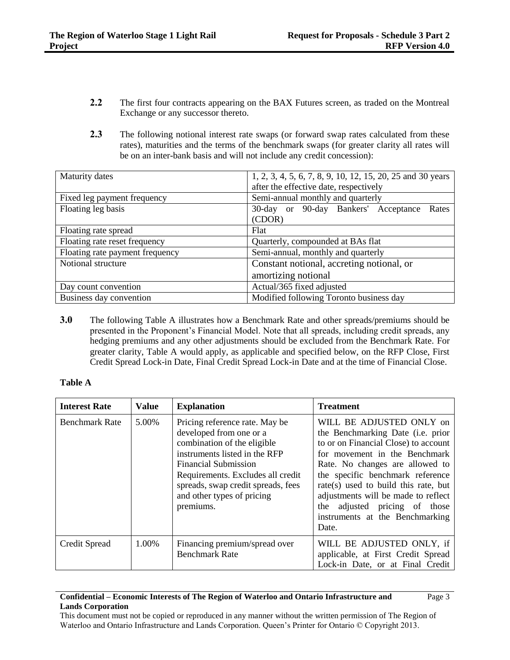- **2.2** The first four contracts appearing on the BAX Futures screen, as traded on the Montreal Exchange or any successor thereto.
- 2.3 The following notional interest rate swaps (or forward swap rates calculated from these rates), maturities and the terms of the benchmark swaps (for greater clarity all rates will be on an inter-bank basis and will not include any credit concession):

| Maturity dates                  | 1, 2, 3, 4, 5, 6, 7, 8, 9, 10, 12, 15, 20, 25 and 30 years |
|---------------------------------|------------------------------------------------------------|
|                                 | after the effective date, respectively                     |
| Fixed leg payment frequency     | Semi-annual monthly and quarterly                          |
| Floating leg basis              | 30-day or 90-day Bankers' Acceptance<br>Rates              |
|                                 | (CDOR)                                                     |
| Floating rate spread            | Flat                                                       |
| Floating rate reset frequency   | Quarterly, compounded at BAs flat                          |
| Floating rate payment frequency | Semi-annual, monthly and quarterly                         |
| Notional structure              | Constant notional, accreting notional, or                  |
|                                 | amortizing notional                                        |
| Day count convention            | Actual/365 fixed adjusted                                  |
| Business day convention         | Modified following Toronto business day                    |

**3.0** The following Table A illustrates how a Benchmark Rate and other spreads/premiums should be presented in the Proponent's Financial Model. Note that all spreads, including credit spreads, any hedging premiums and any other adjustments should be excluded from the Benchmark Rate. For greater clarity, Table A would apply, as applicable and specified below, on the RFP Close, First Credit Spread Lock-in Date, Final Credit Spread Lock-in Date and at the time of Financial Close.

#### **Table A**

| <b>Interest Rate</b>  | <b>Value</b> | <b>Explanation</b>                                                                                                                                                                                                                                                             | <b>Treatment</b>                                                                                                                                                                                                                                                                                                                                                                       |
|-----------------------|--------------|--------------------------------------------------------------------------------------------------------------------------------------------------------------------------------------------------------------------------------------------------------------------------------|----------------------------------------------------------------------------------------------------------------------------------------------------------------------------------------------------------------------------------------------------------------------------------------------------------------------------------------------------------------------------------------|
| <b>Benchmark Rate</b> | 5.00%        | Pricing reference rate. May be<br>developed from one or a<br>combination of the eligible<br>instruments listed in the RFP<br><b>Financial Submission</b><br>Requirements. Excludes all credit<br>spreads, swap credit spreads, fees<br>and other types of pricing<br>premiums. | WILL BE ADJUSTED ONLY on<br>the Benchmarking Date ( <i>i.e.</i> prior<br>to or on Financial Close) to account<br>for movement in the Benchmark<br>Rate. No changes are allowed to<br>the specific benchmark reference<br>$rate(s)$ used to build this rate, but<br>adjustments will be made to reflect<br>adjusted pricing of those<br>the<br>instruments at the Benchmarking<br>Date. |
| Credit Spread         | 1.00%        | Financing premium/spread over<br><b>Benchmark Rate</b>                                                                                                                                                                                                                         | WILL BE ADJUSTED ONLY, if<br>applicable, at First Credit Spread<br>Lock-in Date, or at Final Credit                                                                                                                                                                                                                                                                                    |

#### **Confidential – Economic Interests of The Region of Waterloo and Ontario Infrastructure and Lands Corporation**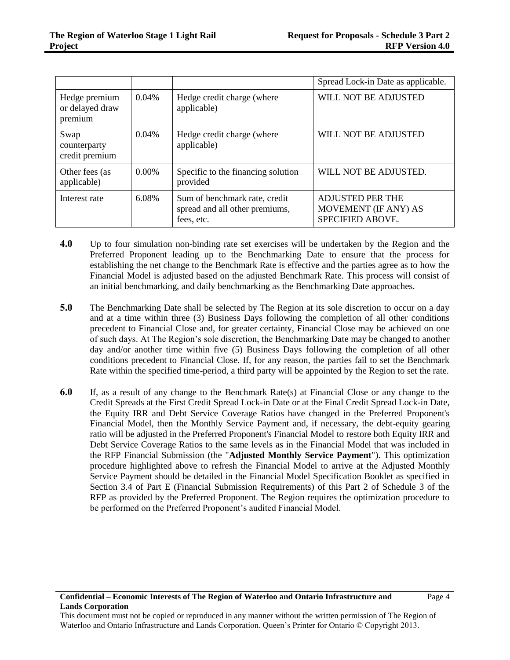|                                             |          |                                                                               | Spread Lock-in Date as applicable.                                  |
|---------------------------------------------|----------|-------------------------------------------------------------------------------|---------------------------------------------------------------------|
| Hedge premium<br>or delayed draw<br>premium | 0.04%    | Hedge credit charge (where<br>applicable)                                     | WILL NOT BE ADJUSTED                                                |
| Swap<br>counterparty<br>credit premium      | $0.04\%$ | Hedge credit charge (where<br>applicable)                                     | WILL NOT BE ADJUSTED                                                |
| Other fees (as<br>applicable)               | $0.00\%$ | Specific to the financing solution<br>provided                                | WILL NOT BE ADJUSTED.                                               |
| Interest rate                               | 6.08%    | Sum of benchmark rate, credit<br>spread and all other premiums,<br>fees, etc. | <b>ADJUSTED PER THE</b><br>MOVEMENT (IF ANY) AS<br>SPECIFIED ABOVE. |

- **4.0** Up to four simulation non-binding rate set exercises will be undertaken by the Region and the Preferred Proponent leading up to the Benchmarking Date to ensure that the process for establishing the net change to the Benchmark Rate is effective and the parties agree as to how the Financial Model is adjusted based on the adjusted Benchmark Rate. This process will consist of an initial benchmarking, and daily benchmarking as the Benchmarking Date approaches.
- **5.0** The Benchmarking Date shall be selected by The Region at its sole discretion to occur on a day and at a time within three (3) Business Days following the completion of all other conditions precedent to Financial Close and, for greater certainty, Financial Close may be achieved on one of such days. At The Region's sole discretion, the Benchmarking Date may be changed to another day and/or another time within five (5) Business Days following the completion of all other conditions precedent to Financial Close. If, for any reason, the parties fail to set the Benchmark Rate within the specified time-period, a third party will be appointed by the Region to set the rate.
- **6.0** If, as a result of any change to the Benchmark Rate(s) at Financial Close or any change to the Credit Spreads at the First Credit Spread Lock-in Date or at the Final Credit Spread Lock-in Date, the Equity IRR and Debt Service Coverage Ratios have changed in the Preferred Proponent's Financial Model, then the Monthly Service Payment and, if necessary, the debt-equity gearing ratio will be adjusted in the Preferred Proponent's Financial Model to restore both Equity IRR and Debt Service Coverage Ratios to the same levels as in the Financial Model that was included in the RFP Financial Submission (the "**Adjusted Monthly Service Payment**"). This optimization procedure highlighted above to refresh the Financial Model to arrive at the Adjusted Monthly Service Payment should be detailed in the Financial Model Specification Booklet as specified in Section 3.4 of Part E (Financial Submission Requirements) of this Part 2 of Schedule 3 of the RFP as provided by the Preferred Proponent. The Region requires the optimization procedure to be performed on the Preferred Proponent's audited Financial Model.

This document must not be copied or reproduced in any manner without the written permission of The Region of Waterloo and Ontario Infrastructure and Lands Corporation. Queen's Printer for Ontario © Copyright 2013.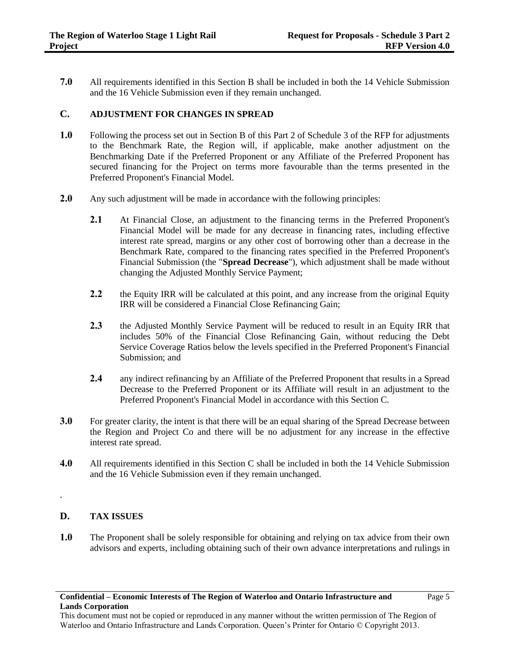**7.0** All requirements identified in this Section B shall be included in both the 14 Vehicle Submission and the 16 Vehicle Submission even if they remain unchanged.

#### **C. ADJUSTMENT FOR CHANGES IN SPREAD**

- **1.0** Following the process set out in Section B of this Part 2 of Schedule 3 of the RFP for adjustments to the Benchmark Rate, the Region will, if applicable, make another adjustment on the Benchmarking Date if the Preferred Proponent or any Affiliate of the Preferred Proponent has secured financing for the Project on terms more favourable than the terms presented in the Preferred Proponent's Financial Model.
- **2.0** Any such adjustment will be made in accordance with the following principles:
	- 2.1 At Financial Close, an adjustment to the financing terms in the Preferred Proponent's Financial Model will be made for any decrease in financing rates, including effective interest rate spread, margins or any other cost of borrowing other than a decrease in the Benchmark Rate, compared to the financing rates specified in the Preferred Proponent's Financial Submission (the "**Spread Decrease**"), which adjustment shall be made without changing the Adjusted Monthly Service Payment;
	- **2.2** the Equity IRR will be calculated at this point, and any increase from the original Equity IRR will be considered a Financial Close Refinancing Gain;
	- **2.3** the Adjusted Monthly Service Payment will be reduced to result in an Equity IRR that includes 50% of the Financial Close Refinancing Gain, without reducing the Debt Service Coverage Ratios below the levels specified in the Preferred Proponent's Financial Submission; and
	- **2.4** any indirect refinancing by an Affiliate of the Preferred Proponent that results in a Spread Decrease to the Preferred Proponent or its Affiliate will result in an adjustment to the Preferred Proponent's Financial Model in accordance with this Section C.
- **3.0** For greater clarity, the intent is that there will be an equal sharing of the Spread Decrease between the Region and Project Co and there will be no adjustment for any increase in the effective interest rate spread.
- **4.0** All requirements identified in this Section C shall be included in both the 14 Vehicle Submission and the 16 Vehicle Submission even if they remain unchanged.

#### **D. TAX ISSUES**

.

**1.0** The Proponent shall be solely responsible for obtaining and relying on tax advice from their own advisors and experts, including obtaining such of their own advance interpretations and rulings in

This document must not be copied or reproduced in any manner without the written permission of The Region of Waterloo and Ontario Infrastructure and Lands Corporation. Queen's Printer for Ontario © Copyright 2013.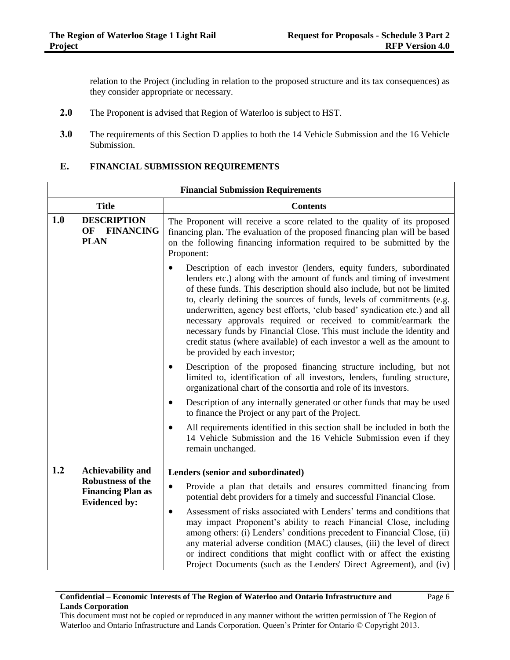relation to the Project (including in relation to the proposed structure and its tax consequences) as they consider appropriate or necessary.

- **2.0** The Proponent is advised that Region of Waterloo is subject to HST.
- **3.0** The requirements of this Section D applies to both the 14 Vehicle Submission and the 16 Vehicle Submission.

# **E. FINANCIAL SUBMISSION REQUIREMENTS**

|                                                          | <b>Financial Submission Requirements</b>                                                                                                                                                                                                         |                                                                                                                                                                                                                                                                                                                                                                                                                                                                                                                                                                                                                                          |  |
|----------------------------------------------------------|--------------------------------------------------------------------------------------------------------------------------------------------------------------------------------------------------------------------------------------------------|------------------------------------------------------------------------------------------------------------------------------------------------------------------------------------------------------------------------------------------------------------------------------------------------------------------------------------------------------------------------------------------------------------------------------------------------------------------------------------------------------------------------------------------------------------------------------------------------------------------------------------------|--|
|                                                          | <b>Title</b>                                                                                                                                                                                                                                     | <b>Contents</b>                                                                                                                                                                                                                                                                                                                                                                                                                                                                                                                                                                                                                          |  |
| 1.0<br><b>DESCRIPTION</b><br>OF FINANCING<br><b>PLAN</b> | The Proponent will receive a score related to the quality of its proposed<br>financing plan. The evaluation of the proposed financing plan will be based<br>on the following financing information required to be submitted by the<br>Proponent: |                                                                                                                                                                                                                                                                                                                                                                                                                                                                                                                                                                                                                                          |  |
|                                                          |                                                                                                                                                                                                                                                  | Description of each investor (lenders, equity funders, subordinated<br>lenders etc.) along with the amount of funds and timing of investment<br>of these funds. This description should also include, but not be limited<br>to, clearly defining the sources of funds, levels of commitments (e.g.<br>underwritten, agency best efforts, 'club based' syndication etc.) and all<br>necessary approvals required or received to commit/earmark the<br>necessary funds by Financial Close. This must include the identity and<br>credit status (where available) of each investor a well as the amount to<br>be provided by each investor; |  |
|                                                          |                                                                                                                                                                                                                                                  | Description of the proposed financing structure including, but not<br>limited to, identification of all investors, lenders, funding structure,<br>organizational chart of the consortia and role of its investors.                                                                                                                                                                                                                                                                                                                                                                                                                       |  |
|                                                          |                                                                                                                                                                                                                                                  | Description of any internally generated or other funds that may be used<br>to finance the Project or any part of the Project.                                                                                                                                                                                                                                                                                                                                                                                                                                                                                                            |  |
|                                                          |                                                                                                                                                                                                                                                  | All requirements identified in this section shall be included in both the<br>$\bullet$<br>14 Vehicle Submission and the 16 Vehicle Submission even if they<br>remain unchanged.                                                                                                                                                                                                                                                                                                                                                                                                                                                          |  |
| 1.2                                                      | <b>Achievability and</b>                                                                                                                                                                                                                         | Lenders (senior and subordinated)                                                                                                                                                                                                                                                                                                                                                                                                                                                                                                                                                                                                        |  |
|                                                          | <b>Robustness of the</b><br><b>Financing Plan as</b><br><b>Evidenced by:</b>                                                                                                                                                                     | Provide a plan that details and ensures committed financing from<br>$\bullet$<br>potential debt providers for a timely and successful Financial Close.                                                                                                                                                                                                                                                                                                                                                                                                                                                                                   |  |
|                                                          |                                                                                                                                                                                                                                                  | Assessment of risks associated with Lenders' terms and conditions that<br>$\bullet$<br>may impact Proponent's ability to reach Financial Close, including<br>among others: (i) Lenders' conditions precedent to Financial Close, (ii)<br>any material adverse condition (MAC) clauses, (iii) the level of direct<br>or indirect conditions that might conflict with or affect the existing<br>Project Documents (such as the Lenders' Direct Agreement), and (iv)                                                                                                                                                                        |  |

## **Confidential – Economic Interests of The Region of Waterloo and Ontario Infrastructure and Lands Corporation**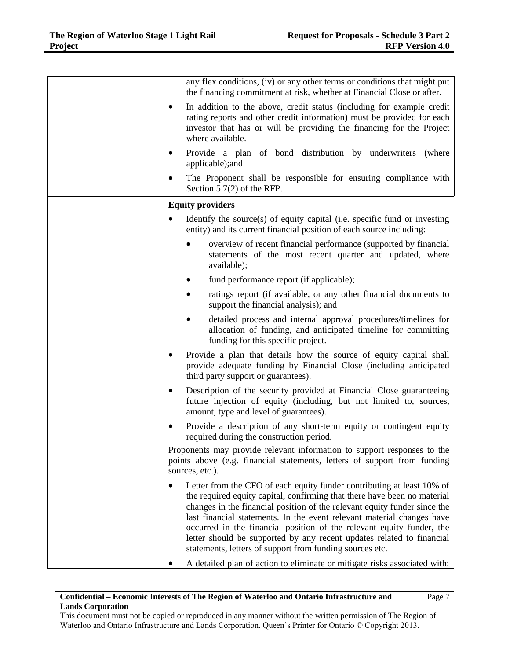|           | any flex conditions, (iv) or any other terms or conditions that might put<br>the financing commitment at risk, whether at Financial Close or after.                                                                                                                                                                                                                                                                                                                                                                     |
|-----------|-------------------------------------------------------------------------------------------------------------------------------------------------------------------------------------------------------------------------------------------------------------------------------------------------------------------------------------------------------------------------------------------------------------------------------------------------------------------------------------------------------------------------|
| ٠         | In addition to the above, credit status (including for example credit<br>rating reports and other credit information) must be provided for each<br>investor that has or will be providing the financing for the Project<br>where available.                                                                                                                                                                                                                                                                             |
| $\bullet$ | Provide a plan of bond distribution by underwriters (where<br>applicable); and                                                                                                                                                                                                                                                                                                                                                                                                                                          |
| $\bullet$ | The Proponent shall be responsible for ensuring compliance with<br>Section $5.7(2)$ of the RFP.                                                                                                                                                                                                                                                                                                                                                                                                                         |
|           | <b>Equity providers</b>                                                                                                                                                                                                                                                                                                                                                                                                                                                                                                 |
|           | Identify the source(s) of equity capital (i.e. specific fund or investing<br>entity) and its current financial position of each source including:                                                                                                                                                                                                                                                                                                                                                                       |
|           | overview of recent financial performance (supported by financial<br>statements of the most recent quarter and updated, where<br>available);                                                                                                                                                                                                                                                                                                                                                                             |
|           | fund performance report (if applicable);                                                                                                                                                                                                                                                                                                                                                                                                                                                                                |
|           | ratings report (if available, or any other financial documents to<br>$\bullet$<br>support the financial analysis); and                                                                                                                                                                                                                                                                                                                                                                                                  |
|           | detailed process and internal approval procedures/timelines for<br>allocation of funding, and anticipated timeline for committing<br>funding for this specific project.                                                                                                                                                                                                                                                                                                                                                 |
|           | Provide a plan that details how the source of equity capital shall<br>provide adequate funding by Financial Close (including anticipated<br>third party support or guarantees).                                                                                                                                                                                                                                                                                                                                         |
|           | Description of the security provided at Financial Close guaranteeing<br>future injection of equity (including, but not limited to, sources,<br>amount, type and level of guarantees).                                                                                                                                                                                                                                                                                                                                   |
|           | Provide a description of any short-term equity or contingent equity<br>required during the construction period.                                                                                                                                                                                                                                                                                                                                                                                                         |
|           | Proponents may provide relevant information to support responses to the<br>points above (e.g. financial statements, letters of support from funding<br>sources, etc.).                                                                                                                                                                                                                                                                                                                                                  |
|           | Letter from the CFO of each equity funder contributing at least 10% of<br>the required equity capital, confirming that there have been no material<br>changes in the financial position of the relevant equity funder since the<br>last financial statements. In the event relevant material changes have<br>occurred in the financial position of the relevant equity funder, the<br>letter should be supported by any recent updates related to financial<br>statements, letters of support from funding sources etc. |
|           | A detailed plan of action to eliminate or mitigate risks associated with:                                                                                                                                                                                                                                                                                                                                                                                                                                               |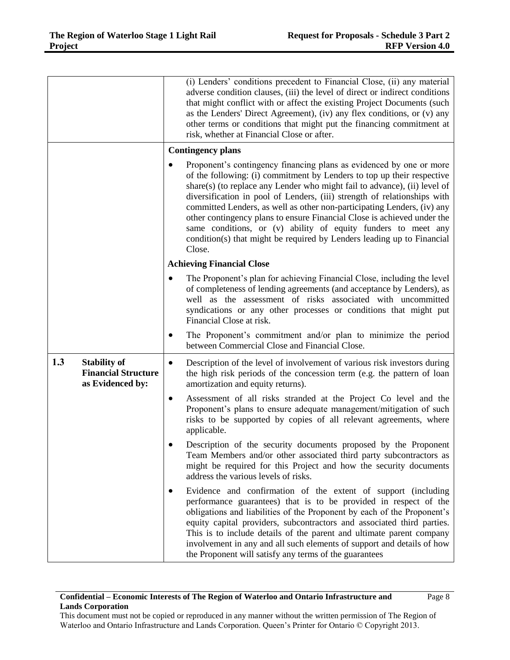|                                                |                                 | (i) Lenders' conditions precedent to Financial Close, (ii) any material<br>adverse condition clauses, (iii) the level of direct or indirect conditions<br>that might conflict with or affect the existing Project Documents (such<br>as the Lenders' Direct Agreement), (iv) any flex conditions, or (v) any<br>other terms or conditions that might put the financing commitment at<br>risk, whether at Financial Close or after.                                                                                                                                                                                |
|------------------------------------------------|---------------------------------|-------------------------------------------------------------------------------------------------------------------------------------------------------------------------------------------------------------------------------------------------------------------------------------------------------------------------------------------------------------------------------------------------------------------------------------------------------------------------------------------------------------------------------------------------------------------------------------------------------------------|
|                                                |                                 | <b>Contingency plans</b>                                                                                                                                                                                                                                                                                                                                                                                                                                                                                                                                                                                          |
|                                                |                                 | Proponent's contingency financing plans as evidenced by one or more<br>of the following: (i) commitment by Lenders to top up their respective<br>share(s) (to replace any Lender who might fail to advance), (ii) level of<br>diversification in pool of Lenders, (iii) strength of relationships with<br>committed Lenders, as well as other non-participating Lenders, (iv) any<br>other contingency plans to ensure Financial Close is achieved under the<br>same conditions, or (v) ability of equity funders to meet any<br>condition(s) that might be required by Lenders leading up to Financial<br>Close. |
|                                                |                                 | <b>Achieving Financial Close</b>                                                                                                                                                                                                                                                                                                                                                                                                                                                                                                                                                                                  |
|                                                | $\bullet$                       | The Proponent's plan for achieving Financial Close, including the level<br>of completeness of lending agreements (and acceptance by Lenders), as<br>well as the assessment of risks associated with uncommitted<br>syndications or any other processes or conditions that might put<br>Financial Close at risk.                                                                                                                                                                                                                                                                                                   |
|                                                | ٠                               | The Proponent's commitment and/or plan to minimize the period<br>between Commercial Close and Financial Close.                                                                                                                                                                                                                                                                                                                                                                                                                                                                                                    |
| 1.3<br><b>Stability of</b><br>as Evidenced by: | ٠<br><b>Financial Structure</b> | Description of the level of involvement of various risk investors during<br>the high risk periods of the concession term (e.g. the pattern of loan<br>amortization and equity returns).                                                                                                                                                                                                                                                                                                                                                                                                                           |
|                                                | ٠                               | Assessment of all risks stranded at the Project Co level and the<br>Proponent's plans to ensure adequate management/mitigation of such<br>risks to be supported by copies of all relevant agreements, where<br>applicable.                                                                                                                                                                                                                                                                                                                                                                                        |
|                                                |                                 | Description of the security documents proposed by the Proponent<br>Team Members and/or other associated third party subcontractors as<br>might be required for this Project and how the security documents<br>address the various levels of risks.                                                                                                                                                                                                                                                                                                                                                                |
|                                                |                                 | Evidence and confirmation of the extent of support (including<br>performance guarantees) that is to be provided in respect of the<br>obligations and liabilities of the Proponent by each of the Proponent's<br>equity capital providers, subcontractors and associated third parties.<br>This is to include details of the parent and ultimate parent company<br>involvement in any and all such elements of support and details of how<br>the Proponent will satisfy any terms of the guarantees                                                                                                                |

## **Confidential – Economic Interests of The Region of Waterloo and Ontario Infrastructure and Lands Corporation**

Page 8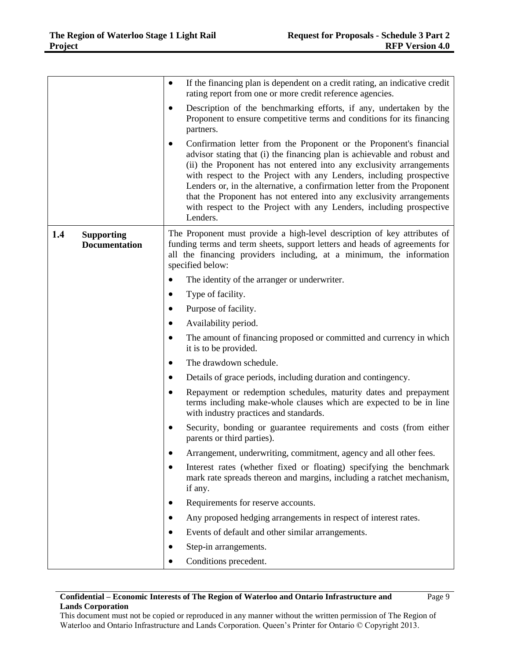|     |                                           | $\bullet$ | If the financing plan is dependent on a credit rating, an indicative credit<br>rating report from one or more credit reference agencies.                                                                                                                                                                                                                                                                                                                                                                                              |
|-----|-------------------------------------------|-----------|---------------------------------------------------------------------------------------------------------------------------------------------------------------------------------------------------------------------------------------------------------------------------------------------------------------------------------------------------------------------------------------------------------------------------------------------------------------------------------------------------------------------------------------|
|     |                                           | $\bullet$ | Description of the benchmarking efforts, if any, undertaken by the<br>Proponent to ensure competitive terms and conditions for its financing<br>partners.                                                                                                                                                                                                                                                                                                                                                                             |
|     |                                           |           | Confirmation letter from the Proponent or the Proponent's financial<br>advisor stating that (i) the financing plan is achievable and robust and<br>(ii) the Proponent has not entered into any exclusivity arrangements<br>with respect to the Project with any Lenders, including prospective<br>Lenders or, in the alternative, a confirmation letter from the Proponent<br>that the Proponent has not entered into any exclusivity arrangements<br>with respect to the Project with any Lenders, including prospective<br>Lenders. |
| 1.4 | <b>Supporting</b><br><b>Documentation</b> |           | The Proponent must provide a high-level description of key attributes of<br>funding terms and term sheets, support letters and heads of agreements for<br>all the financing providers including, at a minimum, the information<br>specified below:                                                                                                                                                                                                                                                                                    |
|     |                                           |           | The identity of the arranger or underwriter.                                                                                                                                                                                                                                                                                                                                                                                                                                                                                          |
|     |                                           |           | Type of facility.                                                                                                                                                                                                                                                                                                                                                                                                                                                                                                                     |
|     |                                           |           | Purpose of facility.                                                                                                                                                                                                                                                                                                                                                                                                                                                                                                                  |
|     |                                           |           | Availability period.                                                                                                                                                                                                                                                                                                                                                                                                                                                                                                                  |
|     |                                           | ٠         | The amount of financing proposed or committed and currency in which<br>it is to be provided.                                                                                                                                                                                                                                                                                                                                                                                                                                          |
|     |                                           |           | The drawdown schedule.                                                                                                                                                                                                                                                                                                                                                                                                                                                                                                                |
|     |                                           | $\bullet$ | Details of grace periods, including duration and contingency.                                                                                                                                                                                                                                                                                                                                                                                                                                                                         |
|     |                                           | $\bullet$ | Repayment or redemption schedules, maturity dates and prepayment<br>terms including make-whole clauses which are expected to be in line<br>with industry practices and standards.                                                                                                                                                                                                                                                                                                                                                     |
|     |                                           | $\bullet$ | Security, bonding or guarantee requirements and costs (from either<br>parents or third parties).                                                                                                                                                                                                                                                                                                                                                                                                                                      |
|     |                                           |           | Arrangement, underwriting, commitment, agency and all other fees.                                                                                                                                                                                                                                                                                                                                                                                                                                                                     |
|     |                                           | $\bullet$ | Interest rates (whether fixed or floating) specifying the benchmark<br>mark rate spreads thereon and margins, including a ratchet mechanism,<br>if any.                                                                                                                                                                                                                                                                                                                                                                               |
|     |                                           | ٠         | Requirements for reserve accounts.                                                                                                                                                                                                                                                                                                                                                                                                                                                                                                    |
|     |                                           |           | Any proposed hedging arrangements in respect of interest rates.                                                                                                                                                                                                                                                                                                                                                                                                                                                                       |
|     |                                           |           | Events of default and other similar arrangements.                                                                                                                                                                                                                                                                                                                                                                                                                                                                                     |
|     |                                           |           | Step-in arrangements.                                                                                                                                                                                                                                                                                                                                                                                                                                                                                                                 |
|     |                                           |           | Conditions precedent.                                                                                                                                                                                                                                                                                                                                                                                                                                                                                                                 |

## **Confidential – Economic Interests of The Region of Waterloo and Ontario Infrastructure and Lands Corporation**

Page 9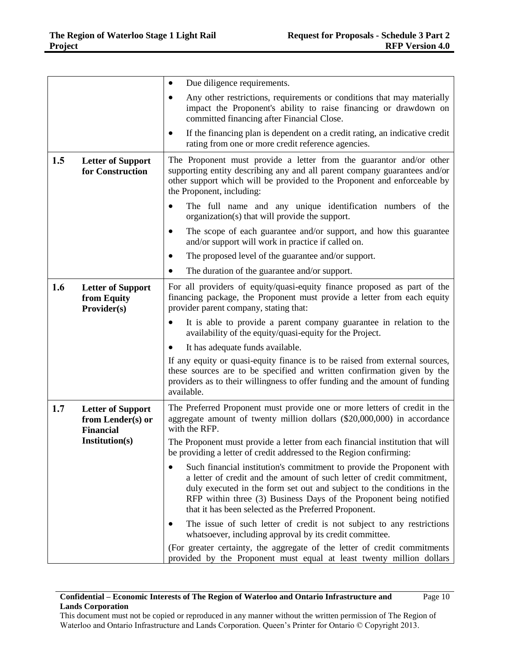|     |                                                                   | Due diligence requirements.                                                                                                                                                                                                                                                                                                                              |
|-----|-------------------------------------------------------------------|----------------------------------------------------------------------------------------------------------------------------------------------------------------------------------------------------------------------------------------------------------------------------------------------------------------------------------------------------------|
|     |                                                                   | Any other restrictions, requirements or conditions that may materially<br>impact the Proponent's ability to raise financing or drawdown on<br>committed financing after Financial Close.                                                                                                                                                                 |
|     |                                                                   | If the financing plan is dependent on a credit rating, an indicative credit<br>rating from one or more credit reference agencies.                                                                                                                                                                                                                        |
| 1.5 | <b>Letter of Support</b><br>for Construction                      | The Proponent must provide a letter from the guarantor and/or other<br>supporting entity describing any and all parent company guarantees and/or<br>other support which will be provided to the Proponent and enforceable by<br>the Proponent, including:                                                                                                |
|     |                                                                   | The full name and any unique identification numbers of the<br>organization(s) that will provide the support.                                                                                                                                                                                                                                             |
|     |                                                                   | The scope of each guarantee and/or support, and how this guarantee<br>and/or support will work in practice if called on.                                                                                                                                                                                                                                 |
|     |                                                                   | The proposed level of the guarantee and/or support.                                                                                                                                                                                                                                                                                                      |
|     |                                                                   | The duration of the guarantee and/or support.                                                                                                                                                                                                                                                                                                            |
| 1.6 | <b>Letter of Support</b><br>from Equity<br>Provider(s)            | For all providers of equity/quasi-equity finance proposed as part of the<br>financing package, the Proponent must provide a letter from each equity<br>provider parent company, stating that:                                                                                                                                                            |
|     |                                                                   | It is able to provide a parent company guarantee in relation to the<br>availability of the equity/quasi-equity for the Project.                                                                                                                                                                                                                          |
|     |                                                                   | It has adequate funds available.                                                                                                                                                                                                                                                                                                                         |
|     |                                                                   | If any equity or quasi-equity finance is to be raised from external sources,<br>these sources are to be specified and written confirmation given by the<br>providers as to their willingness to offer funding and the amount of funding<br>available.                                                                                                    |
| 1.7 | <b>Letter of Support</b><br>from Lender(s) or<br><b>Financial</b> | The Preferred Proponent must provide one or more letters of credit in the<br>aggregate amount of twenty million dollars (\$20,000,000) in accordance<br>with the RFP.                                                                                                                                                                                    |
|     | Institution(s)                                                    | The Proponent must provide a letter from each financial institution that will<br>be providing a letter of credit addressed to the Region confirming:                                                                                                                                                                                                     |
|     |                                                                   | Such financial institution's commitment to provide the Proponent with<br>a letter of credit and the amount of such letter of credit commitment,<br>duly executed in the form set out and subject to the conditions in the<br>RFP within three (3) Business Days of the Proponent being notified<br>that it has been selected as the Preferred Proponent. |
|     |                                                                   | The issue of such letter of credit is not subject to any restrictions<br>whatsoever, including approval by its credit committee.                                                                                                                                                                                                                         |
|     |                                                                   | (For greater certainty, the aggregate of the letter of credit commitments<br>provided by the Proponent must equal at least twenty million dollars                                                                                                                                                                                                        |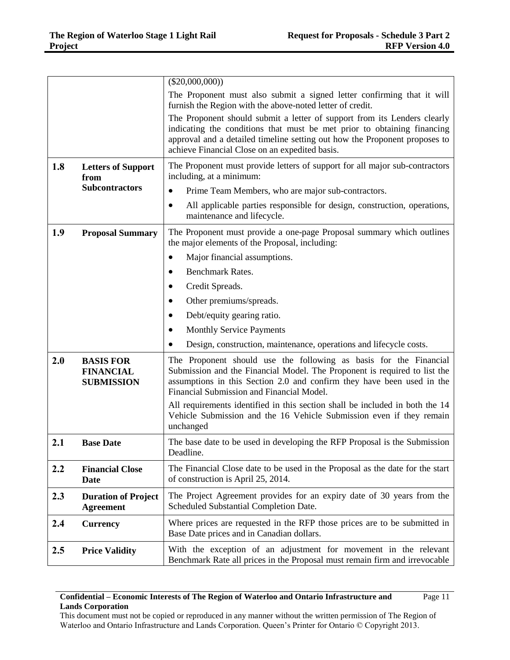|     |                                                           | $(\$20,000,000))$                                                                                                                                                                                                                                                                   |
|-----|-----------------------------------------------------------|-------------------------------------------------------------------------------------------------------------------------------------------------------------------------------------------------------------------------------------------------------------------------------------|
|     |                                                           | The Proponent must also submit a signed letter confirming that it will<br>furnish the Region with the above-noted letter of credit.                                                                                                                                                 |
|     |                                                           | The Proponent should submit a letter of support from its Lenders clearly<br>indicating the conditions that must be met prior to obtaining financing<br>approval and a detailed timeline setting out how the Proponent proposes to<br>achieve Financial Close on an expedited basis. |
| 1.8 | <b>Letters of Support</b><br>from                         | The Proponent must provide letters of support for all major sub-contractors<br>including, at a minimum:                                                                                                                                                                             |
|     | <b>Subcontractors</b>                                     | Prime Team Members, who are major sub-contractors.<br>$\bullet$                                                                                                                                                                                                                     |
|     |                                                           | All applicable parties responsible for design, construction, operations,<br>maintenance and lifecycle.                                                                                                                                                                              |
| 1.9 | <b>Proposal Summary</b>                                   | The Proponent must provide a one-page Proposal summary which outlines<br>the major elements of the Proposal, including:                                                                                                                                                             |
|     |                                                           | Major financial assumptions.<br>٠                                                                                                                                                                                                                                                   |
|     |                                                           | <b>Benchmark Rates.</b>                                                                                                                                                                                                                                                             |
|     |                                                           | Credit Spreads.                                                                                                                                                                                                                                                                     |
|     |                                                           | Other premiums/spreads.                                                                                                                                                                                                                                                             |
|     |                                                           | Debt/equity gearing ratio.                                                                                                                                                                                                                                                          |
|     |                                                           | <b>Monthly Service Payments</b>                                                                                                                                                                                                                                                     |
|     |                                                           | Design, construction, maintenance, operations and lifecycle costs.                                                                                                                                                                                                                  |
| 2.0 | <b>BASIS FOR</b><br><b>FINANCIAL</b><br><b>SUBMISSION</b> | The Proponent should use the following as basis for the Financial<br>Submission and the Financial Model. The Proponent is required to list the<br>assumptions in this Section 2.0 and confirm they have been used in the<br>Financial Submission and Financial Model.               |
|     |                                                           | All requirements identified in this section shall be included in both the 14<br>Vehicle Submission and the 16 Vehicle Submission even if they remain<br>unchanged                                                                                                                   |
| 2.1 | <b>Base Date</b>                                          | The base date to be used in developing the RFP Proposal is the Submission<br>Deadline.                                                                                                                                                                                              |
| 2.2 | <b>Financial Close</b><br><b>Date</b>                     | The Financial Close date to be used in the Proposal as the date for the start<br>of construction is April 25, 2014.                                                                                                                                                                 |
| 2.3 | <b>Duration of Project</b><br><b>Agreement</b>            | The Project Agreement provides for an expiry date of 30 years from the<br>Scheduled Substantial Completion Date.                                                                                                                                                                    |
| 2.4 | <b>Currency</b>                                           | Where prices are requested in the RFP those prices are to be submitted in<br>Base Date prices and in Canadian dollars.                                                                                                                                                              |
| 2.5 | <b>Price Validity</b>                                     | With the exception of an adjustment for movement in the relevant<br>Benchmark Rate all prices in the Proposal must remain firm and irrevocable                                                                                                                                      |

## **Confidential – Economic Interests of The Region of Waterloo and Ontario Infrastructure and Lands Corporation**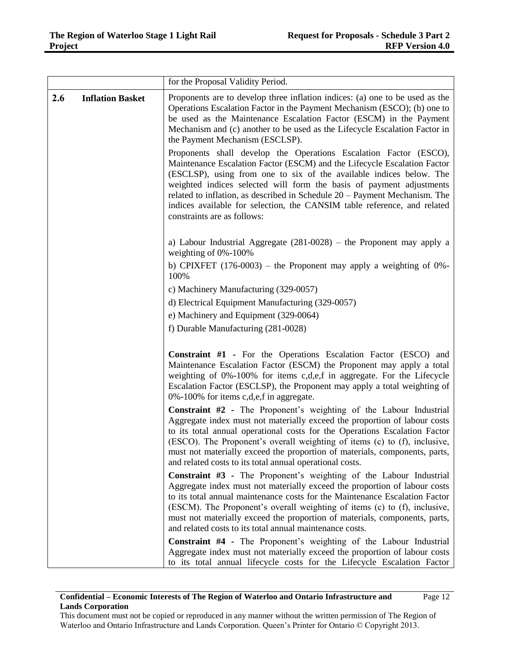|     |                         | for the Proposal Validity Period.                                                                                                                                                                                                                                                                                                                                                                                                                                                       |
|-----|-------------------------|-----------------------------------------------------------------------------------------------------------------------------------------------------------------------------------------------------------------------------------------------------------------------------------------------------------------------------------------------------------------------------------------------------------------------------------------------------------------------------------------|
| 2.6 | <b>Inflation Basket</b> | Proponents are to develop three inflation indices: (a) one to be used as the<br>Operations Escalation Factor in the Payment Mechanism (ESCO); (b) one to<br>be used as the Maintenance Escalation Factor (ESCM) in the Payment<br>Mechanism and (c) another to be used as the Lifecycle Escalation Factor in<br>the Payment Mechanism (ESCLSP).                                                                                                                                         |
|     |                         | Proponents shall develop the Operations Escalation Factor (ESCO),<br>Maintenance Escalation Factor (ESCM) and the Lifecycle Escalation Factor<br>(ESCLSP), using from one to six of the available indices below. The<br>weighted indices selected will form the basis of payment adjustments<br>related to inflation, as described in Schedule $20 -$ Payment Mechanism. The<br>indices available for selection, the CANSIM table reference, and related<br>constraints are as follows: |
|     |                         | a) Labour Industrial Aggregate $(281-0028)$ – the Proponent may apply a<br>weighting of 0%-100%                                                                                                                                                                                                                                                                                                                                                                                         |
|     |                         | b) CPIXFET $(176-0003)$ – the Proponent may apply a weighting of 0%-<br>100%                                                                                                                                                                                                                                                                                                                                                                                                            |
|     |                         | c) Machinery Manufacturing (329-0057)                                                                                                                                                                                                                                                                                                                                                                                                                                                   |
|     |                         | d) Electrical Equipment Manufacturing (329-0057)                                                                                                                                                                                                                                                                                                                                                                                                                                        |
|     |                         | e) Machinery and Equipment (329-0064)                                                                                                                                                                                                                                                                                                                                                                                                                                                   |
|     |                         | f) Durable Manufacturing (281-0028)                                                                                                                                                                                                                                                                                                                                                                                                                                                     |
|     |                         | <b>Constraint #1 - For the Operations Escalation Factor (ESCO) and</b><br>Maintenance Escalation Factor (ESCM) the Proponent may apply a total<br>weighting of 0%-100% for items c,d,e,f in aggregate. For the Lifecycle<br>Escalation Factor (ESCLSP), the Proponent may apply a total weighting of<br>0%-100% for items c,d,e,f in aggregate.                                                                                                                                         |
|     |                         | Constraint #2 - The Proponent's weighting of the Labour Industrial<br>Aggregate index must not materially exceed the proportion of labour costs<br>to its total annual operational costs for the Operations Escalation Factor<br>(ESCO). The Proponent's overall weighting of items (c) to (f), inclusive,<br>must not materially exceed the proportion of materials, components, parts,<br>and related costs to its total annual operational costs.                                    |
|     |                         | Constraint #3 - The Proponent's weighting of the Labour Industrial                                                                                                                                                                                                                                                                                                                                                                                                                      |
|     |                         | Aggregate index must not materially exceed the proportion of labour costs<br>to its total annual maintenance costs for the Maintenance Escalation Factor<br>(ESCM). The Proponent's overall weighting of items (c) to (f), inclusive,<br>must not materially exceed the proportion of materials, components, parts,<br>and related costs to its total annual maintenance costs.                                                                                                         |
|     |                         | Constraint #4 - The Proponent's weighting of the Labour Industrial                                                                                                                                                                                                                                                                                                                                                                                                                      |
|     |                         | Aggregate index must not materially exceed the proportion of labour costs<br>to its total annual lifecycle costs for the Lifecycle Escalation Factor                                                                                                                                                                                                                                                                                                                                    |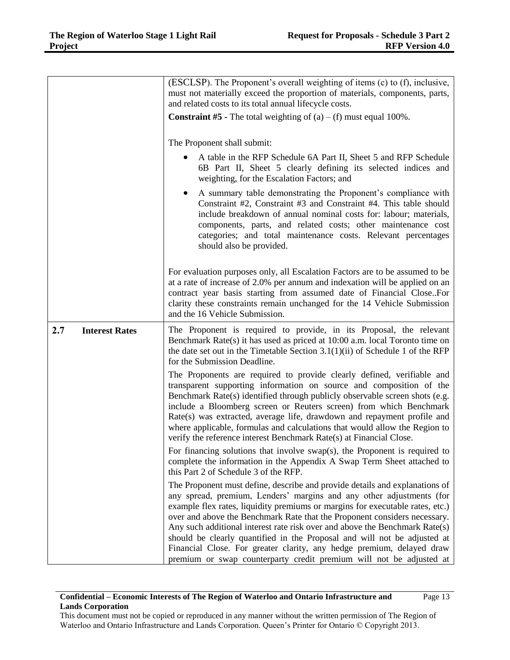|     |                       | (ESCLSP). The Proponent's overall weighting of items (c) to (f), inclusive,<br>must not materially exceed the proportion of materials, components, parts,<br>and related costs to its total annual lifecycle costs.                                                                                                                                                                                                                                                                                                                                                                                                          |
|-----|-----------------------|------------------------------------------------------------------------------------------------------------------------------------------------------------------------------------------------------------------------------------------------------------------------------------------------------------------------------------------------------------------------------------------------------------------------------------------------------------------------------------------------------------------------------------------------------------------------------------------------------------------------------|
|     |                       | <b>Constraint #5</b> - The total weighting of $(a) - (f)$ must equal 100%.                                                                                                                                                                                                                                                                                                                                                                                                                                                                                                                                                   |
|     |                       | The Proponent shall submit:                                                                                                                                                                                                                                                                                                                                                                                                                                                                                                                                                                                                  |
|     |                       | A table in the RFP Schedule 6A Part II, Sheet 5 and RFP Schedule<br>6B Part II, Sheet 5 clearly defining its selected indices and<br>weighting, for the Escalation Factors; and                                                                                                                                                                                                                                                                                                                                                                                                                                              |
|     |                       | A summary table demonstrating the Proponent's compliance with<br>$\bullet$<br>Constraint #2, Constraint #3 and Constraint #4. This table should<br>include breakdown of annual nominal costs for: labour; materials,<br>components, parts, and related costs; other maintenance cost<br>categories; and total maintenance costs. Relevant percentages<br>should also be provided.                                                                                                                                                                                                                                            |
|     |                       | For evaluation purposes only, all Escalation Factors are to be assumed to be<br>at a rate of increase of 2.0% per annum and indexation will be applied on an<br>contract year basis starting from assumed date of Financial Close. For<br>clarity these constraints remain unchanged for the 14 Vehicle Submission<br>and the 16 Vehicle Submission.                                                                                                                                                                                                                                                                         |
| 2.7 | <b>Interest Rates</b> | The Proponent is required to provide, in its Proposal, the relevant<br>Benchmark Rate(s) it has used as priced at 10:00 a.m. local Toronto time on<br>the date set out in the Timetable Section $3.1(1)(ii)$ of Schedule 1 of the RFP<br>for the Submission Deadline.                                                                                                                                                                                                                                                                                                                                                        |
|     |                       | The Proponents are required to provide clearly defined, verifiable and<br>transparent supporting information on source and composition of the<br>Benchmark Rate(s) identified through publicly observable screen shots (e.g.<br>include a Bloomberg screen or Reuters screen) from which Benchmark<br>Rate(s) was extracted, average life, drawdown and repayment profile and<br>where applicable, formulas and calculations that would allow the Region to<br>verify the reference interest Benchmark Rate(s) at Financial Close.                                                                                           |
|     |                       | For financing solutions that involve $swap(s)$ , the Proponent is required to<br>complete the information in the Appendix A Swap Term Sheet attached to<br>this Part 2 of Schedule 3 of the RFP.                                                                                                                                                                                                                                                                                                                                                                                                                             |
|     |                       | The Proponent must define, describe and provide details and explanations of<br>any spread, premium, Lenders' margins and any other adjustments (for<br>example flex rates, liquidity premiums or margins for executable rates, etc.)<br>over and above the Benchmark Rate that the Proponent considers necessary.<br>Any such additional interest rate risk over and above the Benchmark Rate(s)<br>should be clearly quantified in the Proposal and will not be adjusted at<br>Financial Close. For greater clarity, any hedge premium, delayed draw<br>premium or swap counterparty credit premium will not be adjusted at |

## **Confidential – Economic Interests of The Region of Waterloo and Ontario Infrastructure and Lands Corporation**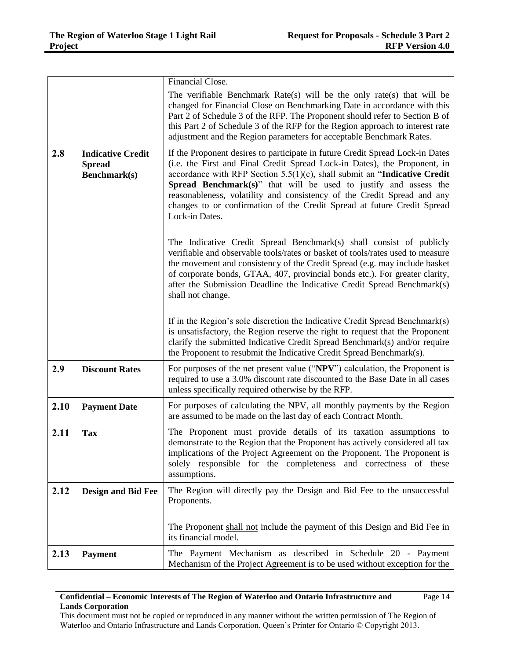|      |                                                           | Financial Close.                                                                                                                                                                                                                                                                                                                                                                                                                                                                       |
|------|-----------------------------------------------------------|----------------------------------------------------------------------------------------------------------------------------------------------------------------------------------------------------------------------------------------------------------------------------------------------------------------------------------------------------------------------------------------------------------------------------------------------------------------------------------------|
|      |                                                           | The verifiable Benchmark Rate(s) will be the only rate(s) that will be<br>changed for Financial Close on Benchmarking Date in accordance with this<br>Part 2 of Schedule 3 of the RFP. The Proponent should refer to Section B of<br>this Part 2 of Schedule 3 of the RFP for the Region approach to interest rate<br>adjustment and the Region parameters for acceptable Benchmark Rates.                                                                                             |
| 2.8  | <b>Indicative Credit</b><br><b>Spread</b><br>Benchmark(s) | If the Proponent desires to participate in future Credit Spread Lock-in Dates<br>(i.e. the First and Final Credit Spread Lock-in Dates), the Proponent, in<br>accordance with RFP Section $5.5(1)(c)$ , shall submit an "Indicative Credit<br>Spread Benchmark(s)" that will be used to justify and assess the<br>reasonableness, volatility and consistency of the Credit Spread and any<br>changes to or confirmation of the Credit Spread at future Credit Spread<br>Lock-in Dates. |
|      |                                                           | The Indicative Credit Spread Benchmark(s) shall consist of publicly<br>verifiable and observable tools/rates or basket of tools/rates used to measure<br>the movement and consistency of the Credit Spread (e.g. may include basket<br>of corporate bonds, GTAA, 407, provincial bonds etc.). For greater clarity,<br>after the Submission Deadline the Indicative Credit Spread Benchmark(s)<br>shall not change.                                                                     |
|      |                                                           | If in the Region's sole discretion the Indicative Credit Spread Benchmark(s)<br>is unsatisfactory, the Region reserve the right to request that the Proponent<br>clarify the submitted Indicative Credit Spread Benchmark(s) and/or require<br>the Proponent to resubmit the Indicative Credit Spread Benchmark(s).                                                                                                                                                                    |
| 2.9  | <b>Discount Rates</b>                                     | For purposes of the net present value ("NPV") calculation, the Proponent is<br>required to use a 3.0% discount rate discounted to the Base Date in all cases<br>unless specifically required otherwise by the RFP.                                                                                                                                                                                                                                                                     |
| 2.10 | <b>Payment Date</b>                                       | For purposes of calculating the NPV, all monthly payments by the Region<br>are assumed to be made on the last day of each Contract Month.                                                                                                                                                                                                                                                                                                                                              |
| 2.11 | <b>Tax</b>                                                | The Proponent must provide details of its taxation assumptions to<br>demonstrate to the Region that the Proponent has actively considered all tax<br>implications of the Project Agreement on the Proponent. The Proponent is<br>solely responsible for the completeness and correctness of these<br>assumptions.                                                                                                                                                                      |
| 2.12 | <b>Design and Bid Fee</b>                                 | The Region will directly pay the Design and Bid Fee to the unsuccessful<br>Proponents.                                                                                                                                                                                                                                                                                                                                                                                                 |
|      |                                                           | The Proponent shall not include the payment of this Design and Bid Fee in<br>its financial model.                                                                                                                                                                                                                                                                                                                                                                                      |
| 2.13 | <b>Payment</b>                                            | The Payment Mechanism as described in Schedule 20 - Payment<br>Mechanism of the Project Agreement is to be used without exception for the                                                                                                                                                                                                                                                                                                                                              |

## **Confidential – Economic Interests of The Region of Waterloo and Ontario Infrastructure and Lands Corporation**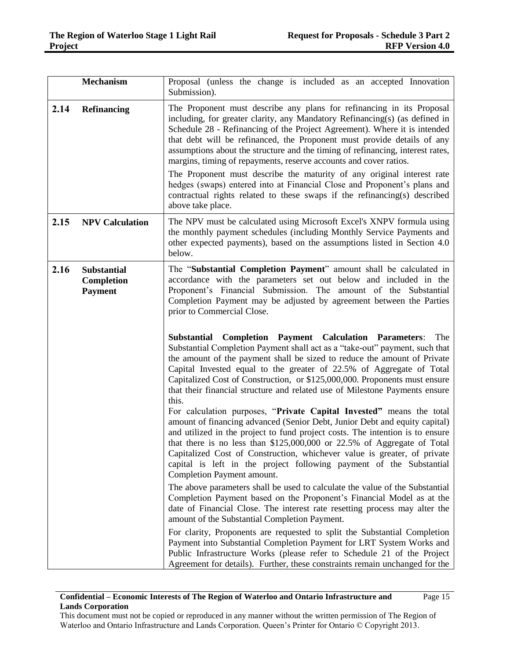|      | <b>Mechanism</b>                                   | Proposal (unless the change is included as an accepted Innovation<br>Submission).                                                                                                                                                                                                                                                                                                                                                                                                                                                                                                                                                                                                                                           |
|------|----------------------------------------------------|-----------------------------------------------------------------------------------------------------------------------------------------------------------------------------------------------------------------------------------------------------------------------------------------------------------------------------------------------------------------------------------------------------------------------------------------------------------------------------------------------------------------------------------------------------------------------------------------------------------------------------------------------------------------------------------------------------------------------------|
| 2.14 | <b>Refinancing</b>                                 | The Proponent must describe any plans for refinancing in its Proposal<br>including, for greater clarity, any Mandatory Refinancing(s) (as defined in<br>Schedule 28 - Refinancing of the Project Agreement). Where it is intended<br>that debt will be refinanced, the Proponent must provide details of any<br>assumptions about the structure and the timing of refinancing, interest rates,<br>margins, timing of repayments, reserve accounts and cover ratios.<br>The Proponent must describe the maturity of any original interest rate<br>hedges (swaps) entered into at Financial Close and Proponent's plans and<br>contractual rights related to these swaps if the refinancing(s) described<br>above take place. |
| 2.15 | <b>NPV Calculation</b>                             | The NPV must be calculated using Microsoft Excel's XNPV formula using<br>the monthly payment schedules (including Monthly Service Payments and<br>other expected payments), based on the assumptions listed in Section 4.0<br>below.                                                                                                                                                                                                                                                                                                                                                                                                                                                                                        |
| 2.16 | <b>Substantial</b><br>Completion<br><b>Payment</b> | The "Substantial Completion Payment" amount shall be calculated in<br>accordance with the parameters set out below and included in the<br>Proponent's Financial Submission. The amount of the Substantial<br>Completion Payment may be adjusted by agreement between the Parties<br>prior to Commercial Close.                                                                                                                                                                                                                                                                                                                                                                                                              |
|      |                                                    | <b>Completion Payment Calculation Parameters:</b><br>The<br>Substantial<br>Substantial Completion Payment shall act as a "take-out" payment, such that<br>the amount of the payment shall be sized to reduce the amount of Private<br>Capital Invested equal to the greater of 22.5% of Aggregate of Total<br>Capitalized Cost of Construction, or \$125,000,000. Proponents must ensure<br>that their financial structure and related use of Milestone Payments ensure<br>this.                                                                                                                                                                                                                                            |
|      |                                                    | For calculation purposes, "Private Capital Invested" means the total<br>amount of financing advanced (Senior Debt, Junior Debt and equity capital)<br>and utilized in the project to fund project costs. The intention is to ensure<br>that there is no less than \$125,000,000 or 22.5% of Aggregate of Total<br>Capitalized Cost of Construction, whichever value is greater, of private<br>capital is left in the project following payment of the Substantial<br>Completion Payment amount.                                                                                                                                                                                                                             |
|      |                                                    | The above parameters shall be used to calculate the value of the Substantial<br>Completion Payment based on the Proponent's Financial Model as at the<br>date of Financial Close. The interest rate resetting process may alter the<br>amount of the Substantial Completion Payment.                                                                                                                                                                                                                                                                                                                                                                                                                                        |
|      |                                                    | For clarity, Proponents are requested to split the Substantial Completion<br>Payment into Substantial Completion Payment for LRT System Works and<br>Public Infrastructure Works (please refer to Schedule 21 of the Project<br>Agreement for details). Further, these constraints remain unchanged for the                                                                                                                                                                                                                                                                                                                                                                                                                 |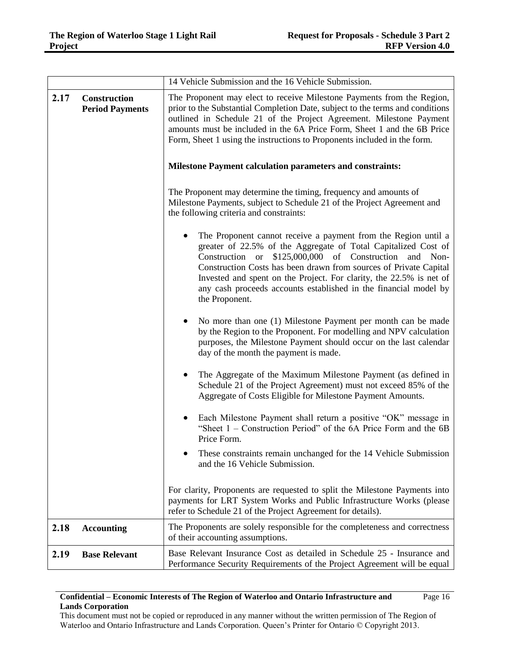|      |                                               | 14 Vehicle Submission and the 16 Vehicle Submission.                                                                                                                                                                                                                                                                                                                                                                                                                                                                                                                                                                                                                                                                                                                                                                                                                                                                                                                                                                                                                    |  |
|------|-----------------------------------------------|-------------------------------------------------------------------------------------------------------------------------------------------------------------------------------------------------------------------------------------------------------------------------------------------------------------------------------------------------------------------------------------------------------------------------------------------------------------------------------------------------------------------------------------------------------------------------------------------------------------------------------------------------------------------------------------------------------------------------------------------------------------------------------------------------------------------------------------------------------------------------------------------------------------------------------------------------------------------------------------------------------------------------------------------------------------------------|--|
| 2.17 | <b>Construction</b><br><b>Period Payments</b> | The Proponent may elect to receive Milestone Payments from the Region,<br>prior to the Substantial Completion Date, subject to the terms and conditions<br>outlined in Schedule 21 of the Project Agreement. Milestone Payment<br>amounts must be included in the 6A Price Form, Sheet 1 and the 6B Price<br>Form, Sheet 1 using the instructions to Proponents included in the form.<br><b>Milestone Payment calculation parameters and constraints:</b><br>The Proponent may determine the timing, frequency and amounts of<br>Milestone Payments, subject to Schedule 21 of the Project Agreement and<br>the following criteria and constraints:<br>The Proponent cannot receive a payment from the Region until a<br>greater of 22.5% of the Aggregate of Total Capitalized Cost of<br>\$125,000,000 of Construction<br>and Non-<br>Construction or<br>Construction Costs has been drawn from sources of Private Capital<br>Invested and spent on the Project. For clarity, the 22.5% is net of<br>any cash proceeds accounts established in the financial model by |  |
|      |                                               | the Proponent.<br>No more than one (1) Milestone Payment per month can be made<br>by the Region to the Proponent. For modelling and NPV calculation<br>purposes, the Milestone Payment should occur on the last calendar<br>day of the month the payment is made.<br>The Aggregate of the Maximum Milestone Payment (as defined in<br>Schedule 21 of the Project Agreement) must not exceed 85% of the<br>Aggregate of Costs Eligible for Milestone Payment Amounts.<br>Each Milestone Payment shall return a positive "OK" message in<br>"Sheet $1$ – Construction Period" of the 6A Price Form and the 6B<br>Price Form.<br>These constraints remain unchanged for the 14 Vehicle Submission<br>and the 16 Vehicle Submission.<br>For clarity, Proponents are requested to split the Milestone Payments into<br>payments for LRT System Works and Public Infrastructure Works (please                                                                                                                                                                                 |  |
|      |                                               | refer to Schedule 21 of the Project Agreement for details).                                                                                                                                                                                                                                                                                                                                                                                                                                                                                                                                                                                                                                                                                                                                                                                                                                                                                                                                                                                                             |  |
| 2.18 | <b>Accounting</b>                             | The Proponents are solely responsible for the completeness and correctness<br>of their accounting assumptions.                                                                                                                                                                                                                                                                                                                                                                                                                                                                                                                                                                                                                                                                                                                                                                                                                                                                                                                                                          |  |
| 2.19 | <b>Base Relevant</b>                          | Base Relevant Insurance Cost as detailed in Schedule 25 - Insurance and<br>Performance Security Requirements of the Project Agreement will be equal                                                                                                                                                                                                                                                                                                                                                                                                                                                                                                                                                                                                                                                                                                                                                                                                                                                                                                                     |  |

#### **Confidential – Economic Interests of The Region of Waterloo and Ontario Infrastructure and Lands Corporation** Page 16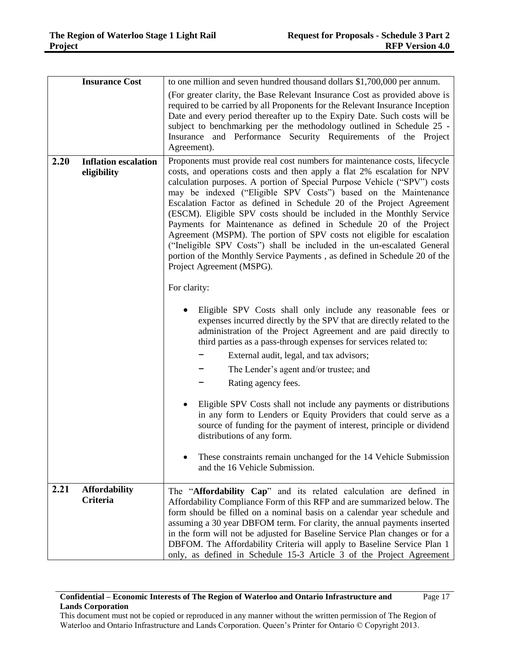|      | <b>Insurance Cost</b>                      | to one million and seven hundred thousand dollars \$1,700,000 per annum.                                                                                                                                                                                                                                                                                                                                                                                                                                                                                                                                                                                                                                                                                                                                                                                                                                                                                                                                                                                                                                                                                                                                                                                                                                                                                                                                                                                                                                                                                     |
|------|--------------------------------------------|--------------------------------------------------------------------------------------------------------------------------------------------------------------------------------------------------------------------------------------------------------------------------------------------------------------------------------------------------------------------------------------------------------------------------------------------------------------------------------------------------------------------------------------------------------------------------------------------------------------------------------------------------------------------------------------------------------------------------------------------------------------------------------------------------------------------------------------------------------------------------------------------------------------------------------------------------------------------------------------------------------------------------------------------------------------------------------------------------------------------------------------------------------------------------------------------------------------------------------------------------------------------------------------------------------------------------------------------------------------------------------------------------------------------------------------------------------------------------------------------------------------------------------------------------------------|
|      |                                            | (For greater clarity, the Base Relevant Insurance Cost as provided above is<br>required to be carried by all Proponents for the Relevant Insurance Inception<br>Date and every period thereafter up to the Expiry Date. Such costs will be<br>subject to benchmarking per the methodology outlined in Schedule 25 -<br>Insurance and Performance Security Requirements of the Project<br>Agreement).                                                                                                                                                                                                                                                                                                                                                                                                                                                                                                                                                                                                                                                                                                                                                                                                                                                                                                                                                                                                                                                                                                                                                         |
| 2.20 | <b>Inflation escalation</b><br>eligibility | Proponents must provide real cost numbers for maintenance costs, lifecycle<br>costs, and operations costs and then apply a flat 2% escalation for NPV<br>calculation purposes. A portion of Special Purpose Vehicle ("SPV") costs<br>may be indexed ("Eligible SPV Costs") based on the Maintenance<br>Escalation Factor as defined in Schedule 20 of the Project Agreement<br>(ESCM). Eligible SPV costs should be included in the Monthly Service<br>Payments for Maintenance as defined in Schedule 20 of the Project<br>Agreement (MSPM). The portion of SPV costs not eligible for escalation<br>("Ineligible SPV Costs") shall be included in the un-escalated General<br>portion of the Monthly Service Payments, as defined in Schedule 20 of the<br>Project Agreement (MSPG).<br>For clarity:<br>Eligible SPV Costs shall only include any reasonable fees or<br>expenses incurred directly by the SPV that are directly related to the<br>administration of the Project Agreement and are paid directly to<br>third parties as a pass-through expenses for services related to:<br>External audit, legal, and tax advisors;<br>The Lender's agent and/or trustee; and<br>Rating agency fees.<br>Eligible SPV Costs shall not include any payments or distributions<br>in any form to Lenders or Equity Providers that could serve as a<br>source of funding for the payment of interest, principle or dividend<br>distributions of any form.<br>These constraints remain unchanged for the 14 Vehicle Submission<br>and the 16 Vehicle Submission. |
| 2.21 | <b>Affordability</b><br>Criteria           | The "Affordability Cap" and its related calculation are defined in<br>Affordability Compliance Form of this RFP and are summarized below. The<br>form should be filled on a nominal basis on a calendar year schedule and<br>assuming a 30 year DBFOM term. For clarity, the annual payments inserted<br>in the form will not be adjusted for Baseline Service Plan changes or for a<br>DBFOM. The Affordability Criteria will apply to Baseline Service Plan 1<br>only, as defined in Schedule 15-3 Article 3 of the Project Agreement                                                                                                                                                                                                                                                                                                                                                                                                                                                                                                                                                                                                                                                                                                                                                                                                                                                                                                                                                                                                                      |

This document must not be copied or reproduced in any manner without the written permission of The Region of Waterloo and Ontario Infrastructure and Lands Corporation. Queen's Printer for Ontario © Copyright 2013.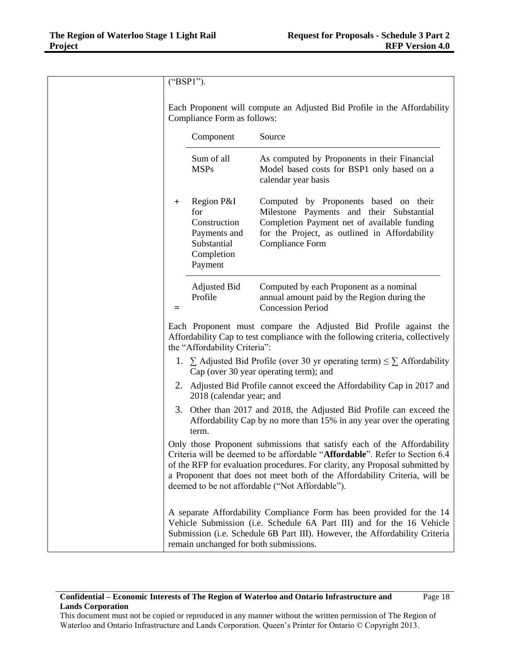| ("BSP1").    |                                                                                           |                                                                                                                                                                                                                                                                                                                                                                         |
|--------------|-------------------------------------------------------------------------------------------|-------------------------------------------------------------------------------------------------------------------------------------------------------------------------------------------------------------------------------------------------------------------------------------------------------------------------------------------------------------------------|
|              | Compliance Form as follows:                                                               | Each Proponent will compute an Adjusted Bid Profile in the Affordability                                                                                                                                                                                                                                                                                                |
|              | Component                                                                                 | Source                                                                                                                                                                                                                                                                                                                                                                  |
|              | Sum of all<br><b>MSPs</b>                                                                 | As computed by Proponents in their Financial<br>Model based costs for BSP1 only based on a<br>calendar year basis                                                                                                                                                                                                                                                       |
| $\mathrm{+}$ | Region P&I<br>for<br>Construction<br>Payments and<br>Substantial<br>Completion<br>Payment | Computed by Proponents based on their<br>Milestone Payments and their Substantial<br>Completion Payment net of available funding<br>for the Project, as outlined in Affordability<br>Compliance Form                                                                                                                                                                    |
| ⋍            | <b>Adjusted Bid</b><br>Profile                                                            | Computed by each Proponent as a nominal<br>annual amount paid by the Region during the<br><b>Concession Period</b>                                                                                                                                                                                                                                                      |
|              | the "Affordability Criteria":                                                             | Each Proponent must compare the Adjusted Bid Profile against the<br>Affordability Cap to test compliance with the following criteria, collectively                                                                                                                                                                                                                      |
|              |                                                                                           | 1. $\sum$ Adjusted Bid Profile (over 30 yr operating term) $\leq \sum$ Affordability<br>Cap (over 30 year operating term); and                                                                                                                                                                                                                                          |
|              | 2018 (calendar year; and                                                                  | 2. Adjusted Bid Profile cannot exceed the Affordability Cap in 2017 and                                                                                                                                                                                                                                                                                                 |
|              | term.                                                                                     | 3. Other than 2017 and 2018, the Adjusted Bid Profile can exceed the<br>Affordability Cap by no more than 15% in any year over the operating                                                                                                                                                                                                                            |
|              |                                                                                           | Only those Proponent submissions that satisfy each of the Affordability<br>Criteria will be deemed to be affordable "Affordable". Refer to Section 6.4<br>of the RFP for evaluation procedures. For clarity, any Proposal submitted by<br>a Proponent that does not meet both of the Affordability Criteria, will be<br>deemed to be not affordable ("Not Affordable"). |
|              | remain unchanged for both submissions.                                                    | A separate Affordability Compliance Form has been provided for the 14<br>Vehicle Submission (i.e. Schedule 6A Part III) and for the 16 Vehicle<br>Submission (i.e. Schedule 6B Part III). However, the Affordability Criteria                                                                                                                                           |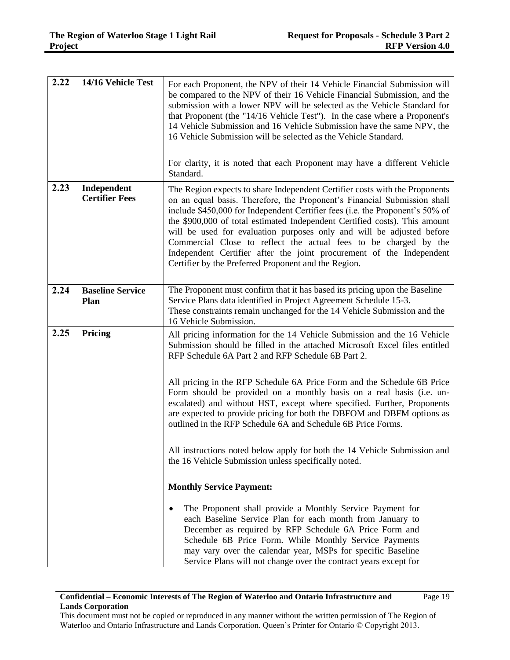| 2.22 | 14/16 Vehicle Test                   | For each Proponent, the NPV of their 14 Vehicle Financial Submission will<br>be compared to the NPV of their 16 Vehicle Financial Submission, and the<br>submission with a lower NPV will be selected as the Vehicle Standard for<br>that Proponent (the "14/16 Vehicle Test"). In the case where a Proponent's<br>14 Vehicle Submission and 16 Vehicle Submission have the same NPV, the<br>16 Vehicle Submission will be selected as the Vehicle Standard.<br>For clarity, it is noted that each Proponent may have a different Vehicle                                                           |
|------|--------------------------------------|-----------------------------------------------------------------------------------------------------------------------------------------------------------------------------------------------------------------------------------------------------------------------------------------------------------------------------------------------------------------------------------------------------------------------------------------------------------------------------------------------------------------------------------------------------------------------------------------------------|
|      |                                      | Standard.                                                                                                                                                                                                                                                                                                                                                                                                                                                                                                                                                                                           |
| 2.23 | Independent<br><b>Certifier Fees</b> | The Region expects to share Independent Certifier costs with the Proponents<br>on an equal basis. Therefore, the Proponent's Financial Submission shall<br>include \$450,000 for Independent Certifier fees (i.e. the Proponent's 50% of<br>the \$900,000 of total estimated Independent Certified costs). This amount<br>will be used for evaluation purposes only and will be adjusted before<br>Commercial Close to reflect the actual fees to be charged by the<br>Independent Certifier after the joint procurement of the Independent<br>Certifier by the Preferred Proponent and the Region. |
| 2.24 | <b>Baseline Service</b><br>Plan      | The Proponent must confirm that it has based its pricing upon the Baseline<br>Service Plans data identified in Project Agreement Schedule 15-3.<br>These constraints remain unchanged for the 14 Vehicle Submission and the<br>16 Vehicle Submission.                                                                                                                                                                                                                                                                                                                                               |
| 2.25 | Pricing                              | All pricing information for the 14 Vehicle Submission and the 16 Vehicle<br>Submission should be filled in the attached Microsoft Excel files entitled<br>RFP Schedule 6A Part 2 and RFP Schedule 6B Part 2.                                                                                                                                                                                                                                                                                                                                                                                        |
|      |                                      | All pricing in the RFP Schedule 6A Price Form and the Schedule 6B Price<br>Form should be provided on a monthly basis on a real basis (i.e. un-<br>escalated) and without HST, except where specified. Further, Proponents<br>are expected to provide pricing for both the DBFOM and DBFM options as<br>outlined in the RFP Schedule 6A and Schedule 6B Price Forms.                                                                                                                                                                                                                                |
|      |                                      | All instructions noted below apply for both the 14 Vehicle Submission and<br>the 16 Vehicle Submission unless specifically noted.                                                                                                                                                                                                                                                                                                                                                                                                                                                                   |
|      |                                      | <b>Monthly Service Payment:</b>                                                                                                                                                                                                                                                                                                                                                                                                                                                                                                                                                                     |
|      |                                      | The Proponent shall provide a Monthly Service Payment for<br>each Baseline Service Plan for each month from January to<br>December as required by RFP Schedule 6A Price Form and<br>Schedule 6B Price Form. While Monthly Service Payments<br>may vary over the calendar year, MSPs for specific Baseline<br>Service Plans will not change over the contract years except for                                                                                                                                                                                                                       |

## **Confidential – Economic Interests of The Region of Waterloo and Ontario Infrastructure and Lands Corporation**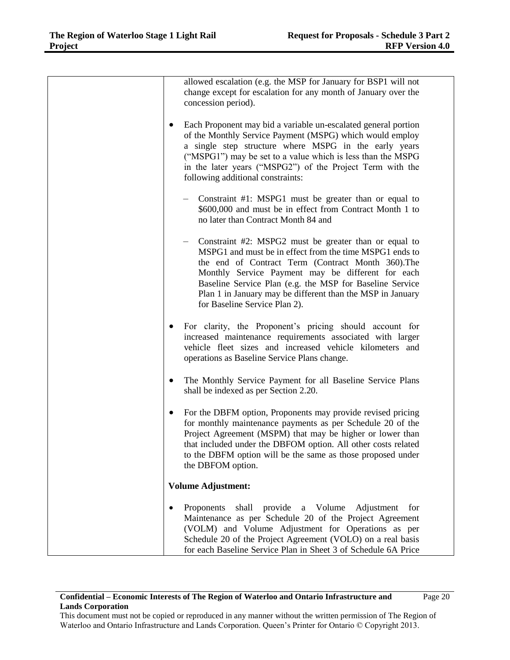| allowed escalation (e.g. the MSP for January for BSP1 will not<br>change except for escalation for any month of January over the<br>concession period).                                                                                                                                                                                                                                |
|----------------------------------------------------------------------------------------------------------------------------------------------------------------------------------------------------------------------------------------------------------------------------------------------------------------------------------------------------------------------------------------|
| Each Proponent may bid a variable un-escalated general portion<br>$\bullet$<br>of the Monthly Service Payment (MSPG) which would employ<br>a single step structure where MSPG in the early years<br>("MSPG1") may be set to a value which is less than the MSPG<br>in the later years ("MSPG2") of the Project Term with the<br>following additional constraints:                      |
| Constraint #1: MSPG1 must be greater than or equal to<br>\$600,000 and must be in effect from Contract Month 1 to<br>no later than Contract Month 84 and                                                                                                                                                                                                                               |
| Constraint #2: MSPG2 must be greater than or equal to<br>MSPG1 and must be in effect from the time MSPG1 ends to<br>the end of Contract Term (Contract Month 360). The<br>Monthly Service Payment may be different for each<br>Baseline Service Plan (e.g. the MSP for Baseline Service<br>Plan 1 in January may be different than the MSP in January<br>for Baseline Service Plan 2). |
| For clarity, the Proponent's pricing should account for<br>increased maintenance requirements associated with larger<br>vehicle fleet sizes and increased vehicle kilometers and<br>operations as Baseline Service Plans change.                                                                                                                                                       |
| The Monthly Service Payment for all Baseline Service Plans<br>$\bullet$<br>shall be indexed as per Section 2.20.                                                                                                                                                                                                                                                                       |
| For the DBFM option, Proponents may provide revised pricing<br>for monthly maintenance payments as per Schedule 20 of the<br>Project Agreement (MSPM) that may be higher or lower than<br>that included under the DBFOM option. All other costs related<br>to the DBFM option will be the same as those proposed under<br>the DBFOM option.                                            |
| <b>Volume Adjustment:</b>                                                                                                                                                                                                                                                                                                                                                              |
| Proponents<br>shall<br>provide a Volume<br>Adjustment<br>for<br>Maintenance as per Schedule 20 of the Project Agreement<br>(VOLM) and Volume Adjustment for Operations as per<br>Schedule 20 of the Project Agreement (VOLO) on a real basis<br>for each Baseline Service Plan in Sheet 3 of Schedule 6A Price                                                                         |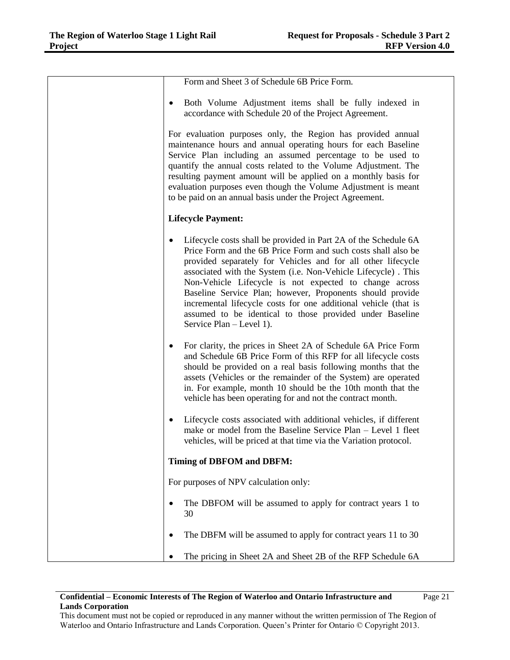| Form and Sheet 3 of Schedule 6B Price Form.                                                                                                                                                                                                                                                                                                                                                                                                                                                                                                         |
|-----------------------------------------------------------------------------------------------------------------------------------------------------------------------------------------------------------------------------------------------------------------------------------------------------------------------------------------------------------------------------------------------------------------------------------------------------------------------------------------------------------------------------------------------------|
| Both Volume Adjustment items shall be fully indexed in<br>٠<br>accordance with Schedule 20 of the Project Agreement.                                                                                                                                                                                                                                                                                                                                                                                                                                |
| For evaluation purposes only, the Region has provided annual<br>maintenance hours and annual operating hours for each Baseline<br>Service Plan including an assumed percentage to be used to<br>quantify the annual costs related to the Volume Adjustment. The<br>resulting payment amount will be applied on a monthly basis for<br>evaluation purposes even though the Volume Adjustment is meant<br>to be paid on an annual basis under the Project Agreement.                                                                                  |
| <b>Lifecycle Payment:</b>                                                                                                                                                                                                                                                                                                                                                                                                                                                                                                                           |
| Lifecycle costs shall be provided in Part 2A of the Schedule 6A<br>Price Form and the 6B Price Form and such costs shall also be<br>provided separately for Vehicles and for all other lifecycle<br>associated with the System (i.e. Non-Vehicle Lifecycle). This<br>Non-Vehicle Lifecycle is not expected to change across<br>Baseline Service Plan; however, Proponents should provide<br>incremental lifecycle costs for one additional vehicle (that is<br>assumed to be identical to those provided under Baseline<br>Service Plan – Level 1). |
| For clarity, the prices in Sheet 2A of Schedule 6A Price Form<br>$\bullet$<br>and Schedule 6B Price Form of this RFP for all lifecycle costs<br>should be provided on a real basis following months that the<br>assets (Vehicles or the remainder of the System) are operated<br>in. For example, month 10 should be the 10th month that the<br>vehicle has been operating for and not the contract month.                                                                                                                                          |
| Lifecycle costs associated with additional vehicles, if different<br>$\bullet$<br>make or model from the Baseline Service Plan – Level 1 fleet<br>vehicles, will be priced at that time via the Variation protocol.                                                                                                                                                                                                                                                                                                                                 |
| <b>Timing of DBFOM and DBFM:</b>                                                                                                                                                                                                                                                                                                                                                                                                                                                                                                                    |
| For purposes of NPV calculation only:                                                                                                                                                                                                                                                                                                                                                                                                                                                                                                               |
| The DBFOM will be assumed to apply for contract years 1 to<br>30                                                                                                                                                                                                                                                                                                                                                                                                                                                                                    |
| The DBFM will be assumed to apply for contract years 11 to 30                                                                                                                                                                                                                                                                                                                                                                                                                                                                                       |
| The pricing in Sheet 2A and Sheet 2B of the RFP Schedule 6A                                                                                                                                                                                                                                                                                                                                                                                                                                                                                         |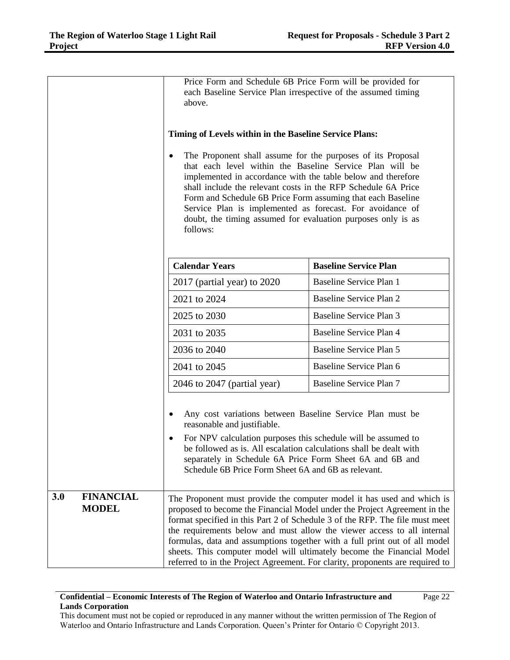|     |                                  | Price Form and Schedule 6B Price Form will be provided for<br>each Baseline Service Plan irrespective of the assumed timing<br>above.<br>Timing of Levels within in the Baseline Service Plans:<br>The Proponent shall assume for the purposes of its Proposal<br>$\bullet$<br>that each level within the Baseline Service Plan will be<br>implemented in accordance with the table below and therefore<br>shall include the relevant costs in the RFP Schedule 6A Price<br>Form and Schedule 6B Price Form assuming that each Baseline<br>Service Plan is implemented as forecast. For avoidance of<br>doubt, the timing assumed for evaluation purposes only is as<br>follows: |                                                                                                                                                                                                                                                                                                                                                                                                                                                                                                                                                         |
|-----|----------------------------------|----------------------------------------------------------------------------------------------------------------------------------------------------------------------------------------------------------------------------------------------------------------------------------------------------------------------------------------------------------------------------------------------------------------------------------------------------------------------------------------------------------------------------------------------------------------------------------------------------------------------------------------------------------------------------------|---------------------------------------------------------------------------------------------------------------------------------------------------------------------------------------------------------------------------------------------------------------------------------------------------------------------------------------------------------------------------------------------------------------------------------------------------------------------------------------------------------------------------------------------------------|
|     |                                  | <b>Calendar Years</b>                                                                                                                                                                                                                                                                                                                                                                                                                                                                                                                                                                                                                                                            | <b>Baseline Service Plan</b>                                                                                                                                                                                                                                                                                                                                                                                                                                                                                                                            |
|     |                                  | $2017$ (partial year) to $2020$                                                                                                                                                                                                                                                                                                                                                                                                                                                                                                                                                                                                                                                  | Baseline Service Plan 1                                                                                                                                                                                                                                                                                                                                                                                                                                                                                                                                 |
|     |                                  | 2021 to 2024                                                                                                                                                                                                                                                                                                                                                                                                                                                                                                                                                                                                                                                                     | <b>Baseline Service Plan 2</b>                                                                                                                                                                                                                                                                                                                                                                                                                                                                                                                          |
|     |                                  | 2025 to 2030                                                                                                                                                                                                                                                                                                                                                                                                                                                                                                                                                                                                                                                                     | Baseline Service Plan 3                                                                                                                                                                                                                                                                                                                                                                                                                                                                                                                                 |
|     |                                  | 2031 to 2035                                                                                                                                                                                                                                                                                                                                                                                                                                                                                                                                                                                                                                                                     | <b>Baseline Service Plan 4</b>                                                                                                                                                                                                                                                                                                                                                                                                                                                                                                                          |
|     |                                  | 2036 to 2040                                                                                                                                                                                                                                                                                                                                                                                                                                                                                                                                                                                                                                                                     | Baseline Service Plan 5                                                                                                                                                                                                                                                                                                                                                                                                                                                                                                                                 |
|     |                                  | 2041 to 2045                                                                                                                                                                                                                                                                                                                                                                                                                                                                                                                                                                                                                                                                     | Baseline Service Plan 6                                                                                                                                                                                                                                                                                                                                                                                                                                                                                                                                 |
|     |                                  | $2046$ to $2047$ (partial year)                                                                                                                                                                                                                                                                                                                                                                                                                                                                                                                                                                                                                                                  | <b>Baseline Service Plan 7</b>                                                                                                                                                                                                                                                                                                                                                                                                                                                                                                                          |
|     |                                  | Any cost variations between Baseline Service Plan must be<br>reasonable and justifiable.<br>For NPV calculation purposes this schedule will be assumed to<br>be followed as is. All escalation calculations shall be dealt with<br>separately in Schedule 6A Price Form Sheet 6A and 6B and<br>Schedule 6B Price Form Sheet 6A and 6B as relevant.                                                                                                                                                                                                                                                                                                                               |                                                                                                                                                                                                                                                                                                                                                                                                                                                                                                                                                         |
| 3.0 | <b>FINANCIAL</b><br><b>MODEL</b> |                                                                                                                                                                                                                                                                                                                                                                                                                                                                                                                                                                                                                                                                                  | The Proponent must provide the computer model it has used and which is<br>proposed to become the Financial Model under the Project Agreement in the<br>format specified in this Part 2 of Schedule 3 of the RFP. The file must meet<br>the requirements below and must allow the viewer access to all internal<br>formulas, data and assumptions together with a full print out of all model<br>sheets. This computer model will ultimately become the Financial Model<br>referred to in the Project Agreement. For clarity, proponents are required to |

## **Confidential – Economic Interests of The Region of Waterloo and Ontario Infrastructure and Lands Corporation**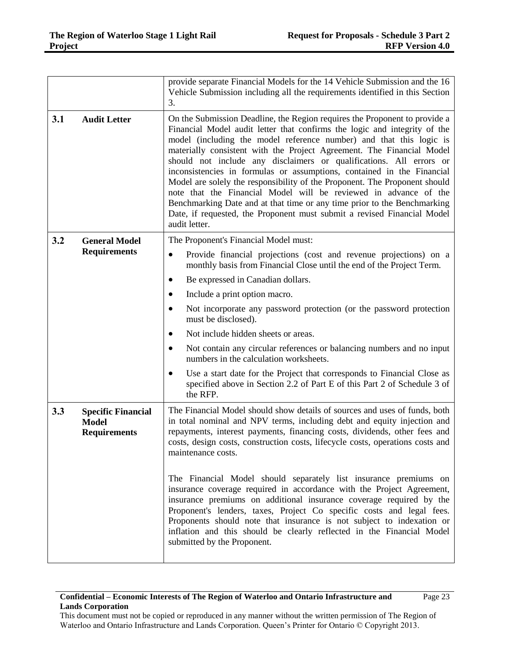|     |                                                                  | provide separate Financial Models for the 14 Vehicle Submission and the 16<br>Vehicle Submission including all the requirements identified in this Section<br>3.                                                                                                                                                                                                                                                                                                                                                                                                                                                                                                                                                                                                                   |
|-----|------------------------------------------------------------------|------------------------------------------------------------------------------------------------------------------------------------------------------------------------------------------------------------------------------------------------------------------------------------------------------------------------------------------------------------------------------------------------------------------------------------------------------------------------------------------------------------------------------------------------------------------------------------------------------------------------------------------------------------------------------------------------------------------------------------------------------------------------------------|
| 3.1 | <b>Audit Letter</b>                                              | On the Submission Deadline, the Region requires the Proponent to provide a<br>Financial Model audit letter that confirms the logic and integrity of the<br>model (including the model reference number) and that this logic is<br>materially consistent with the Project Agreement. The Financial Model<br>should not include any disclaimers or qualifications. All errors or<br>inconsistencies in formulas or assumptions, contained in the Financial<br>Model are solely the responsibility of the Proponent. The Proponent should<br>note that the Financial Model will be reviewed in advance of the<br>Benchmarking Date and at that time or any time prior to the Benchmarking<br>Date, if requested, the Proponent must submit a revised Financial Model<br>audit letter. |
| 3.2 | <b>General Model</b><br><b>Requirements</b>                      | The Proponent's Financial Model must:                                                                                                                                                                                                                                                                                                                                                                                                                                                                                                                                                                                                                                                                                                                                              |
|     |                                                                  | Provide financial projections (cost and revenue projections) on a<br>٠<br>monthly basis from Financial Close until the end of the Project Term.                                                                                                                                                                                                                                                                                                                                                                                                                                                                                                                                                                                                                                    |
|     |                                                                  | Be expressed in Canadian dollars.                                                                                                                                                                                                                                                                                                                                                                                                                                                                                                                                                                                                                                                                                                                                                  |
|     |                                                                  | Include a print option macro.                                                                                                                                                                                                                                                                                                                                                                                                                                                                                                                                                                                                                                                                                                                                                      |
|     |                                                                  | Not incorporate any password protection (or the password protection<br>must be disclosed).                                                                                                                                                                                                                                                                                                                                                                                                                                                                                                                                                                                                                                                                                         |
|     |                                                                  | Not include hidden sheets or areas.                                                                                                                                                                                                                                                                                                                                                                                                                                                                                                                                                                                                                                                                                                                                                |
|     |                                                                  | Not contain any circular references or balancing numbers and no input<br>numbers in the calculation worksheets.                                                                                                                                                                                                                                                                                                                                                                                                                                                                                                                                                                                                                                                                    |
|     |                                                                  | Use a start date for the Project that corresponds to Financial Close as<br>specified above in Section 2.2 of Part E of this Part 2 of Schedule 3 of<br>the RFP.                                                                                                                                                                                                                                                                                                                                                                                                                                                                                                                                                                                                                    |
| 3.3 | <b>Specific Financial</b><br><b>Model</b><br><b>Requirements</b> | The Financial Model should show details of sources and uses of funds, both<br>in total nominal and NPV terms, including debt and equity injection and<br>repayments, interest payments, financing costs, dividends, other fees and<br>costs, design costs, construction costs, lifecycle costs, operations costs and<br>maintenance costs.                                                                                                                                                                                                                                                                                                                                                                                                                                         |
|     |                                                                  | The Financial Model should separately list insurance premiums on<br>insurance coverage required in accordance with the Project Agreement,<br>insurance premiums on additional insurance coverage required by the<br>Proponent's lenders, taxes, Project Co specific costs and legal fees.<br>Proponents should note that insurance is not subject to indexation or<br>inflation and this should be clearly reflected in the Financial Model<br>submitted by the Proponent.                                                                                                                                                                                                                                                                                                         |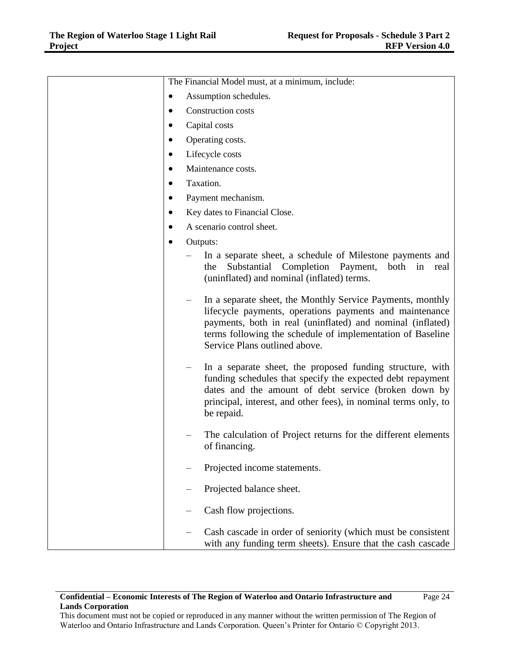|           | The Financial Model must, at a minimum, include:                                                                                                                                                                                                                                   |
|-----------|------------------------------------------------------------------------------------------------------------------------------------------------------------------------------------------------------------------------------------------------------------------------------------|
| $\bullet$ | Assumption schedules.                                                                                                                                                                                                                                                              |
|           | Construction costs                                                                                                                                                                                                                                                                 |
| ٠         | Capital costs                                                                                                                                                                                                                                                                      |
| ٠         | Operating costs.                                                                                                                                                                                                                                                                   |
| $\bullet$ | Lifecycle costs                                                                                                                                                                                                                                                                    |
| ٠         | Maintenance costs.                                                                                                                                                                                                                                                                 |
| ٠         | Taxation.                                                                                                                                                                                                                                                                          |
| $\bullet$ | Payment mechanism.                                                                                                                                                                                                                                                                 |
| ٠         | Key dates to Financial Close.                                                                                                                                                                                                                                                      |
|           | A scenario control sheet.                                                                                                                                                                                                                                                          |
|           | Outputs:                                                                                                                                                                                                                                                                           |
|           | In a separate sheet, a schedule of Milestone payments and<br>Substantial Completion Payment,<br>the<br>both<br>in<br>real<br>(uninflated) and nominal (inflated) terms.                                                                                                            |
|           | In a separate sheet, the Monthly Service Payments, monthly<br>lifecycle payments, operations payments and maintenance<br>payments, both in real (uninflated) and nominal (inflated)<br>terms following the schedule of implementation of Baseline<br>Service Plans outlined above. |
|           | In a separate sheet, the proposed funding structure, with<br>funding schedules that specify the expected debt repayment<br>dates and the amount of debt service (broken down by<br>principal, interest, and other fees), in nominal terms only, to<br>be repaid.                   |
|           | The calculation of Project returns for the different elements<br>of financing.                                                                                                                                                                                                     |
|           | Projected income statements.                                                                                                                                                                                                                                                       |
|           | Projected balance sheet.                                                                                                                                                                                                                                                           |
|           | Cash flow projections.                                                                                                                                                                                                                                                             |
|           | Cash cascade in order of seniority (which must be consistent<br>with any funding term sheets). Ensure that the cash cascade                                                                                                                                                        |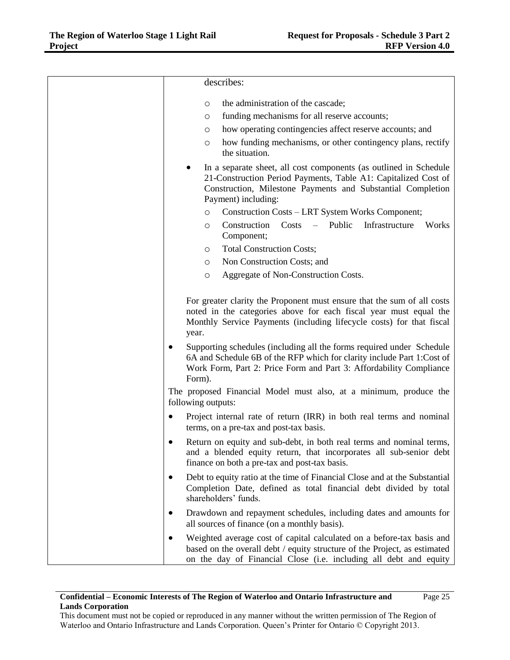|           | describes:                                                                                                                                                                                                                                                                                                                                                                                                                                             |
|-----------|--------------------------------------------------------------------------------------------------------------------------------------------------------------------------------------------------------------------------------------------------------------------------------------------------------------------------------------------------------------------------------------------------------------------------------------------------------|
|           | the administration of the cascade;<br>O<br>funding mechanisms for all reserve accounts;<br>O<br>how operating contingencies affect reserve accounts; and<br>O<br>how funding mechanisms, or other contingency plans, rectify<br>O<br>the situation.                                                                                                                                                                                                    |
|           | In a separate sheet, all cost components (as outlined in Schedule<br>21-Construction Period Payments, Table A1: Capitalized Cost of<br>Construction, Milestone Payments and Substantial Completion<br>Payment) including:<br>Construction Costs - LRT System Works Component;<br>O<br>Public<br>Infrastructure<br>Construction<br>Costs<br>Works<br>O<br>Component;<br><b>Total Construction Costs;</b><br>O                                           |
|           | Non Construction Costs; and<br>O                                                                                                                                                                                                                                                                                                                                                                                                                       |
|           | Aggregate of Non-Construction Costs.<br>$\circ$                                                                                                                                                                                                                                                                                                                                                                                                        |
| ٠         | For greater clarity the Proponent must ensure that the sum of all costs<br>noted in the categories above for each fiscal year must equal the<br>Monthly Service Payments (including lifecycle costs) for that fiscal<br>year.<br>Supporting schedules (including all the forms required under Schedule<br>6A and Schedule 6B of the RFP which for clarity include Part 1:Cost of<br>Work Form, Part 2: Price Form and Part 3: Affordability Compliance |
|           | Form).                                                                                                                                                                                                                                                                                                                                                                                                                                                 |
|           | The proposed Financial Model must also, at a minimum, produce the<br>following outputs:                                                                                                                                                                                                                                                                                                                                                                |
| $\bullet$ | Project internal rate of return (IRR) in both real terms and nominal<br>terms, on a pre-tax and post-tax basis.                                                                                                                                                                                                                                                                                                                                        |
| $\bullet$ | Return on equity and sub-debt, in both real terms and nominal terms,<br>and a blended equity return, that incorporates all sub-senior debt<br>finance on both a pre-tax and post-tax basis.                                                                                                                                                                                                                                                            |
| ٠         | Debt to equity ratio at the time of Financial Close and at the Substantial<br>Completion Date, defined as total financial debt divided by total<br>shareholders' funds.                                                                                                                                                                                                                                                                                |
| $\bullet$ | Drawdown and repayment schedules, including dates and amounts for<br>all sources of finance (on a monthly basis).                                                                                                                                                                                                                                                                                                                                      |
| $\bullet$ | Weighted average cost of capital calculated on a before-tax basis and<br>based on the overall debt / equity structure of the Project, as estimated<br>on the day of Financial Close (i.e. including all debt and equity                                                                                                                                                                                                                                |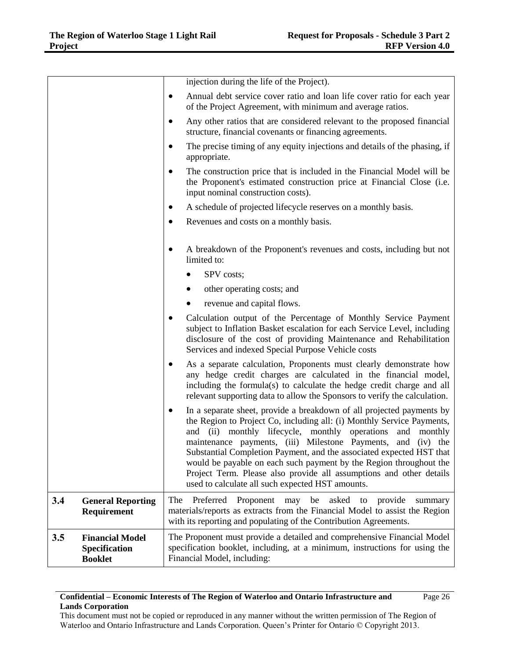|     |                                                           | injection during the life of the Project).                                                                                                                                                                                                                                                                                                                                                                                                                                                                                                             |
|-----|-----------------------------------------------------------|--------------------------------------------------------------------------------------------------------------------------------------------------------------------------------------------------------------------------------------------------------------------------------------------------------------------------------------------------------------------------------------------------------------------------------------------------------------------------------------------------------------------------------------------------------|
|     |                                                           | Annual debt service cover ratio and loan life cover ratio for each year<br>$\bullet$<br>of the Project Agreement, with minimum and average ratios.                                                                                                                                                                                                                                                                                                                                                                                                     |
|     |                                                           | Any other ratios that are considered relevant to the proposed financial<br>structure, financial covenants or financing agreements.                                                                                                                                                                                                                                                                                                                                                                                                                     |
|     |                                                           | The precise timing of any equity injections and details of the phasing, if<br>appropriate.                                                                                                                                                                                                                                                                                                                                                                                                                                                             |
|     |                                                           | The construction price that is included in the Financial Model will be<br>the Proponent's estimated construction price at Financial Close (i.e.<br>input nominal construction costs).                                                                                                                                                                                                                                                                                                                                                                  |
|     |                                                           | A schedule of projected lifecycle reserves on a monthly basis.<br>$\bullet$                                                                                                                                                                                                                                                                                                                                                                                                                                                                            |
|     |                                                           | Revenues and costs on a monthly basis.<br>$\bullet$                                                                                                                                                                                                                                                                                                                                                                                                                                                                                                    |
|     |                                                           | A breakdown of the Proponent's revenues and costs, including but not<br>$\bullet$<br>limited to:                                                                                                                                                                                                                                                                                                                                                                                                                                                       |
|     |                                                           | SPV costs;                                                                                                                                                                                                                                                                                                                                                                                                                                                                                                                                             |
|     |                                                           | other operating costs; and<br>$\bullet$                                                                                                                                                                                                                                                                                                                                                                                                                                                                                                                |
|     |                                                           | revenue and capital flows.                                                                                                                                                                                                                                                                                                                                                                                                                                                                                                                             |
|     |                                                           | Calculation output of the Percentage of Monthly Service Payment<br>subject to Inflation Basket escalation for each Service Level, including<br>disclosure of the cost of providing Maintenance and Rehabilitation<br>Services and indexed Special Purpose Vehicle costs                                                                                                                                                                                                                                                                                |
|     |                                                           | As a separate calculation, Proponents must clearly demonstrate how<br>$\bullet$<br>any hedge credit charges are calculated in the financial model,<br>including the formula(s) to calculate the hedge credit charge and all<br>relevant supporting data to allow the Sponsors to verify the calculation.                                                                                                                                                                                                                                               |
|     |                                                           | In a separate sheet, provide a breakdown of all projected payments by<br>the Region to Project Co, including all: (i) Monthly Service Payments,<br>and (ii) monthly lifecycle, monthly operations and monthly<br>maintenance payments, (iii) Milestone Payments, and (iv) the<br>Substantial Completion Payment, and the associated expected HST that<br>would be payable on each such payment by the Region throughout the<br>Project Term. Please also provide all assumptions and other details<br>used to calculate all such expected HST amounts. |
| 3.4 | <b>General Reporting</b><br>Requirement                   | The<br>Preferred<br>Proponent<br>be<br>asked<br>may<br>provide<br>to<br>summary<br>materials/reports as extracts from the Financial Model to assist the Region<br>with its reporting and populating of the Contribution Agreements.                                                                                                                                                                                                                                                                                                                    |
| 3.5 | <b>Financial Model</b><br>Specification<br><b>Booklet</b> | The Proponent must provide a detailed and comprehensive Financial Model<br>specification booklet, including, at a minimum, instructions for using the<br>Financial Model, including:                                                                                                                                                                                                                                                                                                                                                                   |

## **Confidential – Economic Interests of The Region of Waterloo and Ontario Infrastructure and Lands Corporation**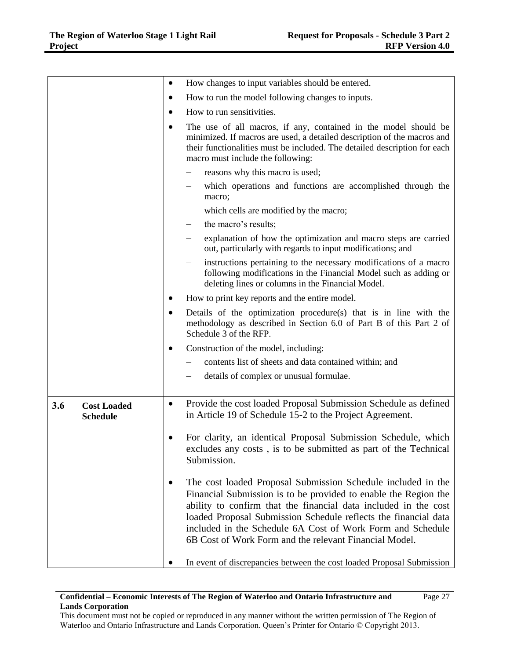|     |                                       | $\bullet$ | How changes to input variables should be entered.                                                                                                                                                                                                                                                                                                                                             |  |
|-----|---------------------------------------|-----------|-----------------------------------------------------------------------------------------------------------------------------------------------------------------------------------------------------------------------------------------------------------------------------------------------------------------------------------------------------------------------------------------------|--|
|     |                                       | $\bullet$ | How to run the model following changes to inputs.                                                                                                                                                                                                                                                                                                                                             |  |
|     |                                       | $\bullet$ | How to run sensitivities.                                                                                                                                                                                                                                                                                                                                                                     |  |
|     |                                       |           | The use of all macros, if any, contained in the model should be<br>minimized. If macros are used, a detailed description of the macros and<br>their functionalities must be included. The detailed description for each<br>macro must include the following:                                                                                                                                  |  |
|     |                                       |           | reasons why this macro is used;                                                                                                                                                                                                                                                                                                                                                               |  |
|     |                                       |           | which operations and functions are accomplished through the<br>macro;                                                                                                                                                                                                                                                                                                                         |  |
|     |                                       |           | which cells are modified by the macro;                                                                                                                                                                                                                                                                                                                                                        |  |
|     |                                       |           | the macro's results;                                                                                                                                                                                                                                                                                                                                                                          |  |
|     |                                       |           | explanation of how the optimization and macro steps are carried<br>out, particularly with regards to input modifications; and                                                                                                                                                                                                                                                                 |  |
|     |                                       |           | instructions pertaining to the necessary modifications of a macro<br>following modifications in the Financial Model such as adding or<br>deleting lines or columns in the Financial Model.                                                                                                                                                                                                    |  |
|     |                                       | $\bullet$ | How to print key reports and the entire model.                                                                                                                                                                                                                                                                                                                                                |  |
|     |                                       | $\bullet$ | Details of the optimization procedure(s) that is in line with the<br>methodology as described in Section 6.0 of Part B of this Part 2 of<br>Schedule 3 of the RFP.                                                                                                                                                                                                                            |  |
|     |                                       | $\bullet$ | Construction of the model, including:                                                                                                                                                                                                                                                                                                                                                         |  |
|     |                                       |           | contents list of sheets and data contained within; and                                                                                                                                                                                                                                                                                                                                        |  |
|     |                                       |           | details of complex or unusual formulae.                                                                                                                                                                                                                                                                                                                                                       |  |
|     |                                       |           |                                                                                                                                                                                                                                                                                                                                                                                               |  |
| 3.6 | <b>Cost Loaded</b><br><b>Schedule</b> | $\bullet$ | Provide the cost loaded Proposal Submission Schedule as defined<br>in Article 19 of Schedule 15-2 to the Project Agreement.                                                                                                                                                                                                                                                                   |  |
|     |                                       |           | For clarity, an identical Proposal Submission Schedule, which<br>excludes any costs, is to be submitted as part of the Technical<br>Submission.                                                                                                                                                                                                                                               |  |
|     |                                       | ٠         | The cost loaded Proposal Submission Schedule included in the<br>Financial Submission is to be provided to enable the Region the<br>ability to confirm that the financial data included in the cost<br>loaded Proposal Submission Schedule reflects the financial data<br>included in the Schedule 6A Cost of Work Form and Schedule<br>6B Cost of Work Form and the relevant Financial Model. |  |
|     |                                       |           | In event of discrepancies between the cost loaded Proposal Submission                                                                                                                                                                                                                                                                                                                         |  |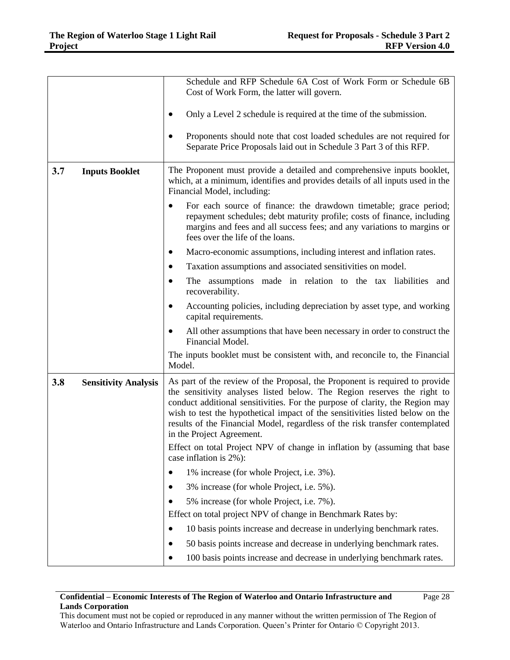|     |                             | Schedule and RFP Schedule 6A Cost of Work Form or Schedule 6B<br>Cost of Work Form, the latter will govern.                                                                                                                                                                                                                                                                                                                          |  |  |
|-----|-----------------------------|--------------------------------------------------------------------------------------------------------------------------------------------------------------------------------------------------------------------------------------------------------------------------------------------------------------------------------------------------------------------------------------------------------------------------------------|--|--|
|     |                             |                                                                                                                                                                                                                                                                                                                                                                                                                                      |  |  |
|     |                             | Only a Level 2 schedule is required at the time of the submission.                                                                                                                                                                                                                                                                                                                                                                   |  |  |
|     |                             | Proponents should note that cost loaded schedules are not required for<br>Separate Price Proposals laid out in Schedule 3 Part 3 of this RFP.                                                                                                                                                                                                                                                                                        |  |  |
| 3.7 | <b>Inputs Booklet</b>       | The Proponent must provide a detailed and comprehensive inputs booklet,<br>which, at a minimum, identifies and provides details of all inputs used in the<br>Financial Model, including:                                                                                                                                                                                                                                             |  |  |
|     |                             | For each source of finance: the drawdown timetable; grace period;<br>$\bullet$<br>repayment schedules; debt maturity profile; costs of finance, including<br>margins and fees and all success fees; and any variations to margins or<br>fees over the life of the loans.                                                                                                                                                             |  |  |
|     |                             | Macro-economic assumptions, including interest and inflation rates.                                                                                                                                                                                                                                                                                                                                                                  |  |  |
|     |                             | Taxation assumptions and associated sensitivities on model.                                                                                                                                                                                                                                                                                                                                                                          |  |  |
|     |                             | The assumptions made in relation to the tax liabilities and<br>recoverability.                                                                                                                                                                                                                                                                                                                                                       |  |  |
|     |                             | Accounting policies, including depreciation by asset type, and working<br>capital requirements.                                                                                                                                                                                                                                                                                                                                      |  |  |
|     |                             | All other assumptions that have been necessary in order to construct the<br>Financial Model.                                                                                                                                                                                                                                                                                                                                         |  |  |
|     |                             | The inputs booklet must be consistent with, and reconcile to, the Financial<br>Model.                                                                                                                                                                                                                                                                                                                                                |  |  |
| 3.8 | <b>Sensitivity Analysis</b> | As part of the review of the Proposal, the Proponent is required to provide<br>the sensitivity analyses listed below. The Region reserves the right to<br>conduct additional sensitivities. For the purpose of clarity, the Region may<br>wish to test the hypothetical impact of the sensitivities listed below on the<br>results of the Financial Model, regardless of the risk transfer contemplated<br>in the Project Agreement. |  |  |
|     |                             | Effect on total Project NPV of change in inflation by (assuming that base<br>case inflation is 2%):                                                                                                                                                                                                                                                                                                                                  |  |  |
|     |                             | 1% increase (for whole Project, i.e. 3%).<br>$\bullet$                                                                                                                                                                                                                                                                                                                                                                               |  |  |
|     |                             | 3% increase (for whole Project, i.e. 5%).                                                                                                                                                                                                                                                                                                                                                                                            |  |  |
|     |                             | 5% increase (for whole Project, i.e. 7%).                                                                                                                                                                                                                                                                                                                                                                                            |  |  |
|     |                             | Effect on total project NPV of change in Benchmark Rates by:                                                                                                                                                                                                                                                                                                                                                                         |  |  |
|     |                             | 10 basis points increase and decrease in underlying benchmark rates.                                                                                                                                                                                                                                                                                                                                                                 |  |  |
|     |                             | 50 basis points increase and decrease in underlying benchmark rates.<br>$\bullet$                                                                                                                                                                                                                                                                                                                                                    |  |  |
|     |                             | 100 basis points increase and decrease in underlying benchmark rates.<br>$\bullet$                                                                                                                                                                                                                                                                                                                                                   |  |  |

#### **Confidential – Economic Interests of The Region of Waterloo and Ontario Infrastructure and Lands Corporation** Page 28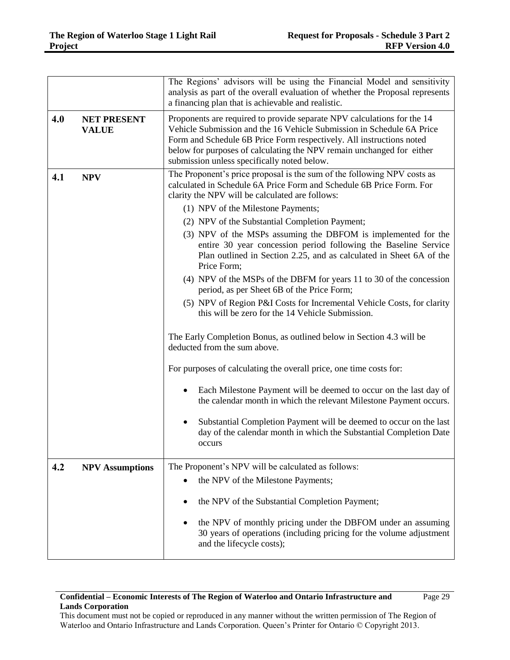|     |                                    | The Regions' advisors will be using the Financial Model and sensitivity<br>analysis as part of the overall evaluation of whether the Proposal represents<br>a financing plan that is achievable and realistic.                                                                                                                                   |  |  |
|-----|------------------------------------|--------------------------------------------------------------------------------------------------------------------------------------------------------------------------------------------------------------------------------------------------------------------------------------------------------------------------------------------------|--|--|
| 4.0 | <b>NET PRESENT</b><br><b>VALUE</b> | Proponents are required to provide separate NPV calculations for the 14<br>Vehicle Submission and the 16 Vehicle Submission in Schedule 6A Price<br>Form and Schedule 6B Price Form respectively. All instructions noted<br>below for purposes of calculating the NPV remain unchanged for either<br>submission unless specifically noted below. |  |  |
| 4.1 | <b>NPV</b>                         | The Proponent's price proposal is the sum of the following NPV costs as<br>calculated in Schedule 6A Price Form and Schedule 6B Price Form. For<br>clarity the NPV will be calculated are follows:                                                                                                                                               |  |  |
|     |                                    | (1) NPV of the Milestone Payments;                                                                                                                                                                                                                                                                                                               |  |  |
|     |                                    | (2) NPV of the Substantial Completion Payment;<br>(3) NPV of the MSPs assuming the DBFOM is implemented for the<br>entire 30 year concession period following the Baseline Service<br>Plan outlined in Section 2.25, and as calculated in Sheet 6A of the<br>Price Form;                                                                         |  |  |
|     |                                    | (4) NPV of the MSPs of the DBFM for years 11 to 30 of the concession<br>period, as per Sheet 6B of the Price Form;                                                                                                                                                                                                                               |  |  |
|     |                                    | (5) NPV of Region P&I Costs for Incremental Vehicle Costs, for clarity<br>this will be zero for the 14 Vehicle Submission.                                                                                                                                                                                                                       |  |  |
|     |                                    | The Early Completion Bonus, as outlined below in Section 4.3 will be<br>deducted from the sum above.                                                                                                                                                                                                                                             |  |  |
|     |                                    | For purposes of calculating the overall price, one time costs for:                                                                                                                                                                                                                                                                               |  |  |
|     |                                    | Each Milestone Payment will be deemed to occur on the last day of<br>the calendar month in which the relevant Milestone Payment occurs.                                                                                                                                                                                                          |  |  |
|     |                                    | Substantial Completion Payment will be deemed to occur on the last<br>٠<br>day of the calendar month in which the Substantial Completion Date<br>occurs                                                                                                                                                                                          |  |  |
| 4.2 | <b>NPV Assumptions</b>             | The Proponent's NPV will be calculated as follows:                                                                                                                                                                                                                                                                                               |  |  |
|     |                                    | the NPV of the Milestone Payments;                                                                                                                                                                                                                                                                                                               |  |  |
|     |                                    | the NPV of the Substantial Completion Payment;<br>٠                                                                                                                                                                                                                                                                                              |  |  |
|     |                                    | the NPV of monthly pricing under the DBFOM under an assuming<br>$\bullet$<br>30 years of operations (including pricing for the volume adjustment<br>and the lifecycle costs);                                                                                                                                                                    |  |  |

## **Confidential – Economic Interests of The Region of Waterloo and Ontario Infrastructure and Lands Corporation**

Page 29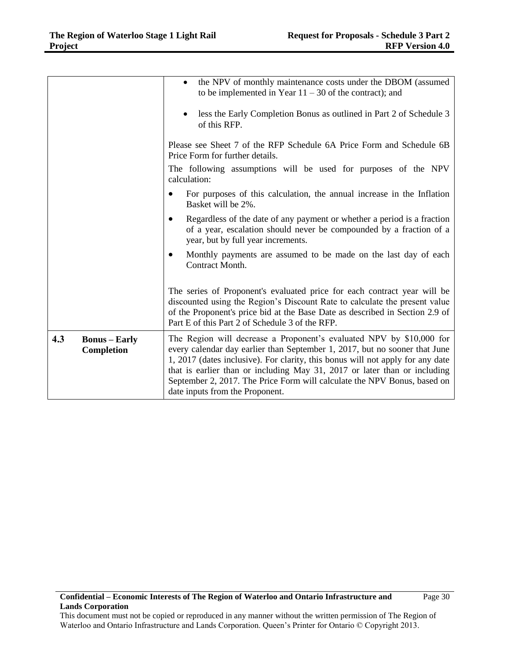|                                           | the NPV of monthly maintenance costs under the DBOM (assumed<br>$\bullet$<br>to be implemented in Year $11 - 30$ of the contract); and<br>less the Early Completion Bonus as outlined in Part 2 of Schedule 3<br>of this RFP.<br>Please see Sheet 7 of the RFP Schedule 6A Price Form and Schedule 6B<br>Price Form for further details.<br>The following assumptions will be used for purposes of the NPV                       |
|-------------------------------------------|----------------------------------------------------------------------------------------------------------------------------------------------------------------------------------------------------------------------------------------------------------------------------------------------------------------------------------------------------------------------------------------------------------------------------------|
|                                           | calculation:<br>For purposes of this calculation, the annual increase in the Inflation                                                                                                                                                                                                                                                                                                                                           |
|                                           | Basket will be 2%.                                                                                                                                                                                                                                                                                                                                                                                                               |
|                                           | Regardless of the date of any payment or whether a period is a fraction<br>$\bullet$<br>of a year, escalation should never be compounded by a fraction of a<br>year, but by full year increments.                                                                                                                                                                                                                                |
|                                           | Monthly payments are assumed to be made on the last day of each<br>$\bullet$<br>Contract Month.                                                                                                                                                                                                                                                                                                                                  |
|                                           | The series of Proponent's evaluated price for each contract year will be<br>discounted using the Region's Discount Rate to calculate the present value<br>of the Proponent's price bid at the Base Date as described in Section 2.9 of<br>Part E of this Part 2 of Schedule 3 of the RFP.                                                                                                                                        |
| 4.3<br><b>Bonus</b> – Early<br>Completion | The Region will decrease a Proponent's evaluated NPV by \$10,000 for<br>every calendar day earlier than September 1, 2017, but no sooner that June<br>1, 2017 (dates inclusive). For clarity, this bonus will not apply for any date<br>that is earlier than or including May 31, 2017 or later than or including<br>September 2, 2017. The Price Form will calculate the NPV Bonus, based on<br>date inputs from the Proponent. |